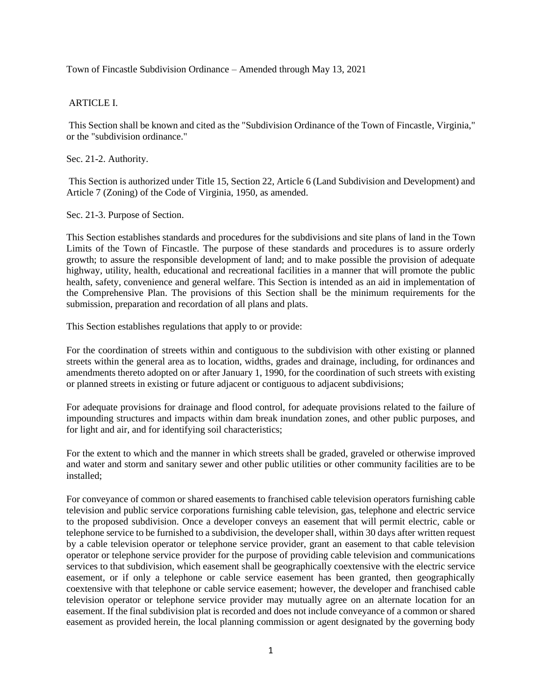Town of Fincastle Subdivision Ordinance – Amended through May 13, 2021

# ARTICLE I.

This Section shall be known and cited as the "Subdivision Ordinance of the Town of Fincastle, Virginia," or the "subdivision ordinance."

Sec. 21-2. Authority.

This Section is authorized under Title 15, Section 22, Article 6 (Land Subdivision and Development) and Article 7 (Zoning) of the Code of Virginia, 1950, as amended.

#### Sec. 21-3. Purpose of Section.

This Section establishes standards and procedures for the subdivisions and site plans of land in the Town Limits of the Town of Fincastle. The purpose of these standards and procedures is to assure orderly growth; to assure the responsible development of land; and to make possible the provision of adequate highway, utility, health, educational and recreational facilities in a manner that will promote the public health, safety, convenience and general welfare. This Section is intended as an aid in implementation of the Comprehensive Plan. The provisions of this Section shall be the minimum requirements for the submission, preparation and recordation of all plans and plats.

This Section establishes regulations that apply to or provide:

For the coordination of streets within and contiguous to the subdivision with other existing or planned streets within the general area as to location, widths, grades and drainage, including, for ordinances and amendments thereto adopted on or after January 1, 1990, for the coordination of such streets with existing or planned streets in existing or future adjacent or contiguous to adjacent subdivisions;

For adequate provisions for drainage and flood control, for adequate provisions related to the failure of impounding structures and impacts within dam break inundation zones, and other public purposes, and for light and air, and for identifying soil characteristics;

For the extent to which and the manner in which streets shall be graded, graveled or otherwise improved and water and storm and sanitary sewer and other public utilities or other community facilities are to be installed;

For conveyance of common or shared easements to franchised cable television operators furnishing cable television and public service corporations furnishing cable television, gas, telephone and electric service to the proposed subdivision. Once a developer conveys an easement that will permit electric, cable or telephone service to be furnished to a subdivision, the developer shall, within 30 days after written request by a cable television operator or telephone service provider, grant an easement to that cable television operator or telephone service provider for the purpose of providing cable television and communications services to that subdivision, which easement shall be geographically coextensive with the electric service easement, or if only a telephone or cable service easement has been granted, then geographically coextensive with that telephone or cable service easement; however, the developer and franchised cable television operator or telephone service provider may mutually agree on an alternate location for an easement. If the final subdivision plat is recorded and does not include conveyance of a common or shared easement as provided herein, the local planning commission or agent designated by the governing body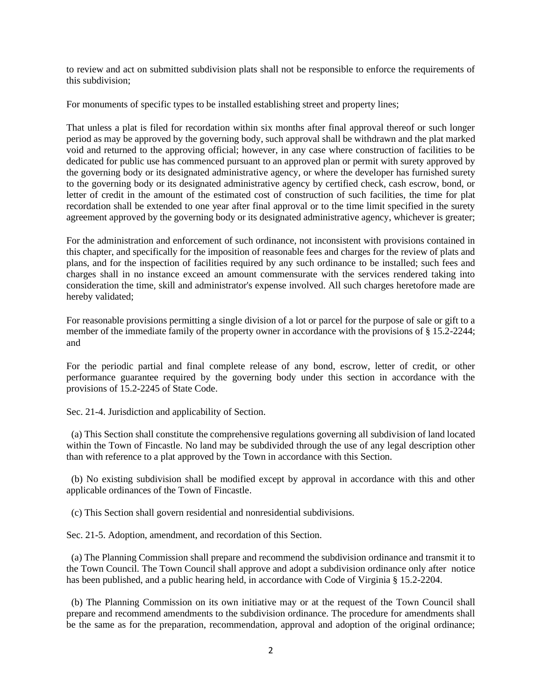to review and act on submitted subdivision plats shall not be responsible to enforce the requirements of this subdivision;

For monuments of specific types to be installed establishing street and property lines;

That unless a plat is filed for recordation within six months after final approval thereof or such longer period as may be approved by the governing body, such approval shall be withdrawn and the plat marked void and returned to the approving official; however, in any case where construction of facilities to be dedicated for public use has commenced pursuant to an approved plan or permit with surety approved by the governing body or its designated administrative agency, or where the developer has furnished surety to the governing body or its designated administrative agency by certified check, cash escrow, bond, or letter of credit in the amount of the estimated cost of construction of such facilities, the time for plat recordation shall be extended to one year after final approval or to the time limit specified in the surety agreement approved by the governing body or its designated administrative agency, whichever is greater;

For the administration and enforcement of such ordinance, not inconsistent with provisions contained in this chapter, and specifically for the imposition of reasonable fees and charges for the review of plats and plans, and for the inspection of facilities required by any such ordinance to be installed; such fees and charges shall in no instance exceed an amount commensurate with the services rendered taking into consideration the time, skill and administrator's expense involved. All such charges heretofore made are hereby validated;

For reasonable provisions permitting a single division of a lot or parcel for the purpose of sale or gift to a member of the immediate family of the property owner in accordance with the provisions of § 15.2-2244; and

For the periodic partial and final complete release of any bond, escrow, letter of credit, or other performance guarantee required by the governing body under this section in accordance with the provisions of 15.2-2245 of State Code.

Sec. 21-4. Jurisdiction and applicability of Section.

 (a) This Section shall constitute the comprehensive regulations governing all subdivision of land located within the Town of Fincastle. No land may be subdivided through the use of any legal description other than with reference to a plat approved by the Town in accordance with this Section.

 (b) No existing subdivision shall be modified except by approval in accordance with this and other applicable ordinances of the Town of Fincastle.

(c) This Section shall govern residential and nonresidential subdivisions.

Sec. 21-5. Adoption, amendment, and recordation of this Section.

 (a) The Planning Commission shall prepare and recommend the subdivision ordinance and transmit it to the Town Council. The Town Council shall approve and adopt a subdivision ordinance only after notice has been published, and a public hearing held, in accordance with Code of Virginia § 15.2-2204.

 (b) The Planning Commission on its own initiative may or at the request of the Town Council shall prepare and recommend amendments to the subdivision ordinance. The procedure for amendments shall be the same as for the preparation, recommendation, approval and adoption of the original ordinance;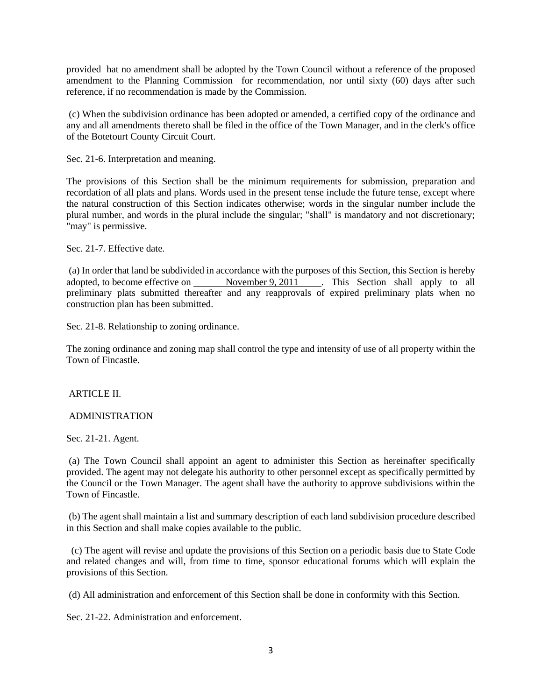provided hat no amendment shall be adopted by the Town Council without a reference of the proposed amendment to the Planning Commission for recommendation, nor until sixty (60) days after such reference, if no recommendation is made by the Commission.

(c) When the subdivision ordinance has been adopted or amended, a certified copy of the ordinance and any and all amendments thereto shall be filed in the office of the Town Manager, and in the clerk's office of the Botetourt County Circuit Court.

Sec. 21-6. Interpretation and meaning.

The provisions of this Section shall be the minimum requirements for submission, preparation and recordation of all plats and plans. Words used in the present tense include the future tense, except where the natural construction of this Section indicates otherwise; words in the singular number include the plural number, and words in the plural include the singular; "shall" is mandatory and not discretionary; "may" is permissive.

Sec. 21-7. Effective date.

(a) In order that land be subdivided in accordance with the purposes of this Section, this Section is hereby adopted, to become effective on \_\_\_\_\_\_ November 9, 2011 \_\_\_\_. This Section shall apply to all preliminary plats submitted thereafter and any reapprovals of expired preliminary plats when no construction plan has been submitted.

Sec. 21-8. Relationship to zoning ordinance.

The zoning ordinance and zoning map shall control the type and intensity of use of all property within the Town of Fincastle.

ARTICLE II.

#### ADMINISTRATION

Sec. 21-21. Agent.

(a) The Town Council shall appoint an agent to administer this Section as hereinafter specifically provided. The agent may not delegate his authority to other personnel except as specifically permitted by the Council or the Town Manager. The agent shall have the authority to approve subdivisions within the Town of Fincastle.

(b) The agent shall maintain a list and summary description of each land subdivision procedure described in this Section and shall make copies available to the public.

 (c) The agent will revise and update the provisions of this Section on a periodic basis due to State Code and related changes and will, from time to time, sponsor educational forums which will explain the provisions of this Section.

(d) All administration and enforcement of this Section shall be done in conformity with this Section.

Sec. 21-22. Administration and enforcement.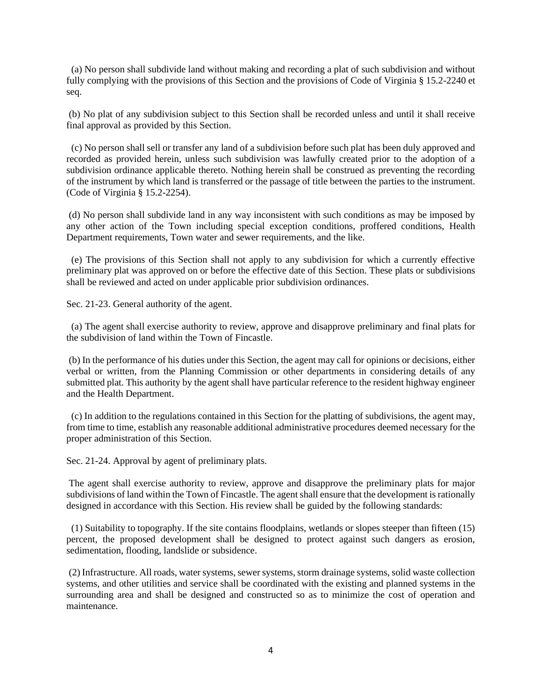(a) No person shall subdivide land without making and recording a plat of such subdivision and without fully complying with the provisions of this Section and the provisions of Code of Virginia § 15.2-2240 et seq.

(b) No plat of any subdivision subject to this Section shall be recorded unless and until it shall receive final approval as provided by this Section.

 (c) No person shall sell or transfer any land of a subdivision before such plat has been duly approved and recorded as provided herein, unless such subdivision was lawfully created prior to the adoption of a subdivision ordinance applicable thereto. Nothing herein shall be construed as preventing the recording of the instrument by which land is transferred or the passage of title between the parties to the instrument. (Code of Virginia § 15.2-2254).

(d) No person shall subdivide land in any way inconsistent with such conditions as may be imposed by any other action of the Town including special exception conditions, proffered conditions, Health Department requirements, Town water and sewer requirements, and the like.

 (e) The provisions of this Section shall not apply to any subdivision for which a currently effective preliminary plat was approved on or before the effective date of this Section. These plats or subdivisions shall be reviewed and acted on under applicable prior subdivision ordinances.

Sec. 21-23. General authority of the agent.

 (a) The agent shall exercise authority to review, approve and disapprove preliminary and final plats for the subdivision of land within the Town of Fincastle.

(b) In the performance of his duties under this Section, the agent may call for opinions or decisions, either verbal or written, from the Planning Commission or other departments in considering details of any submitted plat. This authority by the agent shall have particular reference to the resident highway engineer and the Health Department.

 (c) In addition to the regulations contained in this Section for the platting of subdivisions, the agent may, from time to time, establish any reasonable additional administrative procedures deemed necessary for the proper administration of this Section.

Sec. 21-24. Approval by agent of preliminary plats.

The agent shall exercise authority to review, approve and disapprove the preliminary plats for major subdivisions of land within the Town of Fincastle. The agent shall ensure that the development is rationally designed in accordance with this Section. His review shall be guided by the following standards:

 (1) Suitability to topography. If the site contains floodplains, wetlands or slopes steeper than fifteen (15) percent, the proposed development shall be designed to protect against such dangers as erosion, sedimentation, flooding, landslide or subsidence.

(2) Infrastructure. All roads, water systems, sewer systems, storm drainage systems, solid waste collection systems, and other utilities and service shall be coordinated with the existing and planned systems in the surrounding area and shall be designed and constructed so as to minimize the cost of operation and maintenance.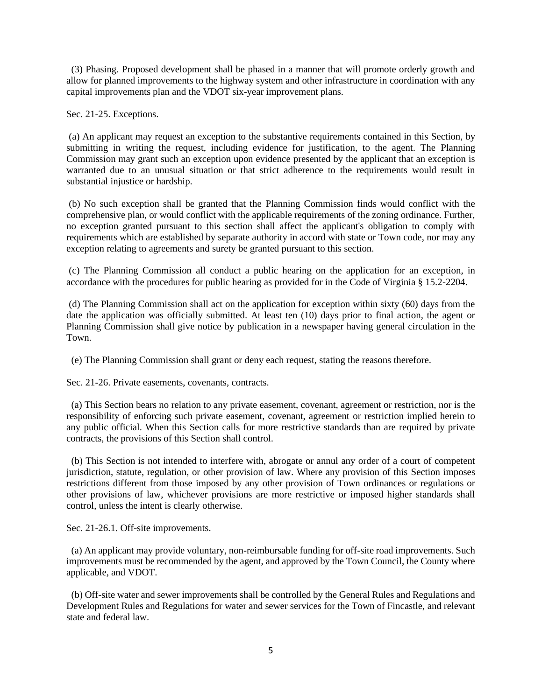(3) Phasing. Proposed development shall be phased in a manner that will promote orderly growth and allow for planned improvements to the highway system and other infrastructure in coordination with any capital improvements plan and the VDOT six-year improvement plans.

Sec. 21-25. Exceptions.

(a) An applicant may request an exception to the substantive requirements contained in this Section, by submitting in writing the request, including evidence for justification, to the agent. The Planning Commission may grant such an exception upon evidence presented by the applicant that an exception is warranted due to an unusual situation or that strict adherence to the requirements would result in substantial injustice or hardship.

(b) No such exception shall be granted that the Planning Commission finds would conflict with the comprehensive plan, or would conflict with the applicable requirements of the zoning ordinance. Further, no exception granted pursuant to this section shall affect the applicant's obligation to comply with requirements which are established by separate authority in accord with state or Town code, nor may any exception relating to agreements and surety be granted pursuant to this section.

(c) The Planning Commission all conduct a public hearing on the application for an exception, in accordance with the procedures for public hearing as provided for in the Code of Virginia § 15.2-2204.

(d) The Planning Commission shall act on the application for exception within sixty (60) days from the date the application was officially submitted. At least ten (10) days prior to final action, the agent or Planning Commission shall give notice by publication in a newspaper having general circulation in the Town.

(e) The Planning Commission shall grant or deny each request, stating the reasons therefore.

Sec. 21-26. Private easements, covenants, contracts.

 (a) This Section bears no relation to any private easement, covenant, agreement or restriction, nor is the responsibility of enforcing such private easement, covenant, agreement or restriction implied herein to any public official. When this Section calls for more restrictive standards than are required by private contracts, the provisions of this Section shall control.

 (b) This Section is not intended to interfere with, abrogate or annul any order of a court of competent jurisdiction, statute, regulation, or other provision of law. Where any provision of this Section imposes restrictions different from those imposed by any other provision of Town ordinances or regulations or other provisions of law, whichever provisions are more restrictive or imposed higher standards shall control, unless the intent is clearly otherwise.

Sec. 21-26.1. Off-site improvements.

 (a) An applicant may provide voluntary, non-reimbursable funding for off-site road improvements. Such improvements must be recommended by the agent, and approved by the Town Council, the County where applicable, and VDOT.

 (b) Off-site water and sewer improvements shall be controlled by the General Rules and Regulations and Development Rules and Regulations for water and sewer services for the Town of Fincastle, and relevant state and federal law.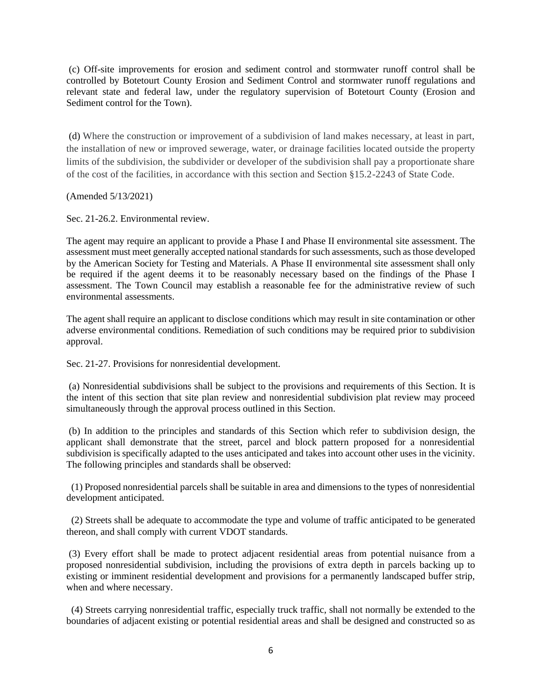(c) Off-site improvements for erosion and sediment control and stormwater runoff control shall be controlled by Botetourt County Erosion and Sediment Control and stormwater runoff regulations and relevant state and federal law, under the regulatory supervision of Botetourt County (Erosion and Sediment control for the Town).

(d) Where the construction or improvement of a subdivision of land makes necessary, at least in part, the installation of new or improved sewerage, water, or drainage facilities located outside the property limits of the subdivision, the subdivider or developer of the subdivision shall pay a proportionate share of the cost of the facilities, in accordance with this section and Section §15.2-2243 of State Code.

(Amended 5/13/2021)

Sec. 21-26.2. Environmental review.

The agent may require an applicant to provide a Phase I and Phase II environmental site assessment. The assessment must meet generally accepted national standards for such assessments, such as those developed by the American Society for Testing and Materials. A Phase II environmental site assessment shall only be required if the agent deems it to be reasonably necessary based on the findings of the Phase I assessment. The Town Council may establish a reasonable fee for the administrative review of such environmental assessments.

The agent shall require an applicant to disclose conditions which may result in site contamination or other adverse environmental conditions. Remediation of such conditions may be required prior to subdivision approval.

Sec. 21-27. Provisions for nonresidential development.

(a) Nonresidential subdivisions shall be subject to the provisions and requirements of this Section. It is the intent of this section that site plan review and nonresidential subdivision plat review may proceed simultaneously through the approval process outlined in this Section.

(b) In addition to the principles and standards of this Section which refer to subdivision design, the applicant shall demonstrate that the street, parcel and block pattern proposed for a nonresidential subdivision is specifically adapted to the uses anticipated and takes into account other uses in the vicinity. The following principles and standards shall be observed:

 (1) Proposed nonresidential parcels shall be suitable in area and dimensions to the types of nonresidential development anticipated.

 (2) Streets shall be adequate to accommodate the type and volume of traffic anticipated to be generated thereon, and shall comply with current VDOT standards.

(3) Every effort shall be made to protect adjacent residential areas from potential nuisance from a proposed nonresidential subdivision, including the provisions of extra depth in parcels backing up to existing or imminent residential development and provisions for a permanently landscaped buffer strip, when and where necessary.

 (4) Streets carrying nonresidential traffic, especially truck traffic, shall not normally be extended to the boundaries of adjacent existing or potential residential areas and shall be designed and constructed so as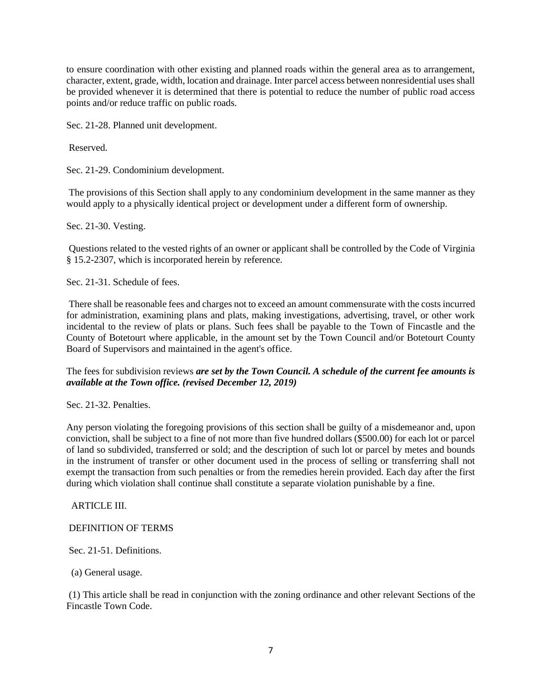to ensure coordination with other existing and planned roads within the general area as to arrangement, character, extent, grade, width, location and drainage. Inter parcel access between nonresidential uses shall be provided whenever it is determined that there is potential to reduce the number of public road access points and/or reduce traffic on public roads.

Sec. 21-28. Planned unit development.

Reserved.

Sec. 21-29. Condominium development.

The provisions of this Section shall apply to any condominium development in the same manner as they would apply to a physically identical project or development under a different form of ownership.

Sec. 21-30. Vesting.

Questions related to the vested rights of an owner or applicant shall be controlled by the Code of Virginia § 15.2-2307, which is incorporated herein by reference.

Sec. 21-31. Schedule of fees.

There shall be reasonable fees and charges not to exceed an amount commensurate with the costs incurred for administration, examining plans and plats, making investigations, advertising, travel, or other work incidental to the review of plats or plans. Such fees shall be payable to the Town of Fincastle and the County of Botetourt where applicable, in the amount set by the Town Council and/or Botetourt County Board of Supervisors and maintained in the agent's office.

The fees for subdivision reviews *are set by the Town Council. A schedule of the current fee amounts is available at the Town office. (revised December 12, 2019)*

Sec. 21-32. Penalties.

Any person violating the foregoing provisions of this section shall be guilty of a misdemeanor and, upon conviction, shall be subject to a fine of not more than five hundred dollars (\$500.00) for each lot or parcel of land so subdivided, transferred or sold; and the description of such lot or parcel by metes and bounds in the instrument of transfer or other document used in the process of selling or transferring shall not exempt the transaction from such penalties or from the remedies herein provided. Each day after the first during which violation shall continue shall constitute a separate violation punishable by a fine.

ARTICLE III.

#### DEFINITION OF TERMS

Sec. 21-51. Definitions.

(a) General usage.

(1) This article shall be read in conjunction with the zoning ordinance and other relevant Sections of the Fincastle Town Code.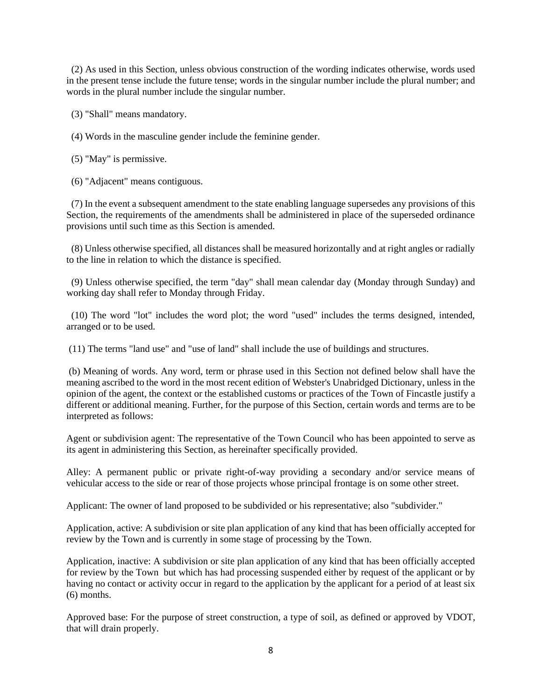(2) As used in this Section, unless obvious construction of the wording indicates otherwise, words used in the present tense include the future tense; words in the singular number include the plural number; and words in the plural number include the singular number.

(3) "Shall" means mandatory.

(4) Words in the masculine gender include the feminine gender.

(5) "May" is permissive.

(6) "Adjacent" means contiguous.

(7) In the event a subsequent amendment to the state enabling language supersedes any provisions of this Section, the requirements of the amendments shall be administered in place of the superseded ordinance provisions until such time as this Section is amended.

 (8) Unless otherwise specified, all distances shall be measured horizontally and at right angles or radially to the line in relation to which the distance is specified.

(9) Unless otherwise specified, the term "day" shall mean calendar day (Monday through Sunday) and working day shall refer to Monday through Friday.

 (10) The word "lot" includes the word plot; the word "used" includes the terms designed, intended, arranged or to be used.

(11) The terms "land use" and "use of land" shall include the use of buildings and structures.

(b) Meaning of words. Any word, term or phrase used in this Section not defined below shall have the meaning ascribed to the word in the most recent edition of Webster's Unabridged Dictionary, unless in the opinion of the agent, the context or the established customs or practices of the Town of Fincastle justify a different or additional meaning. Further, for the purpose of this Section, certain words and terms are to be interpreted as follows:

Agent or subdivision agent: The representative of the Town Council who has been appointed to serve as its agent in administering this Section, as hereinafter specifically provided.

Alley: A permanent public or private right-of-way providing a secondary and/or service means of vehicular access to the side or rear of those projects whose principal frontage is on some other street.

Applicant: The owner of land proposed to be subdivided or his representative; also "subdivider."

Application, active: A subdivision or site plan application of any kind that has been officially accepted for review by the Town and is currently in some stage of processing by the Town.

Application, inactive: A subdivision or site plan application of any kind that has been officially accepted for review by the Town but which has had processing suspended either by request of the applicant or by having no contact or activity occur in regard to the application by the applicant for a period of at least six (6) months.

Approved base: For the purpose of street construction, a type of soil, as defined or approved by VDOT, that will drain properly.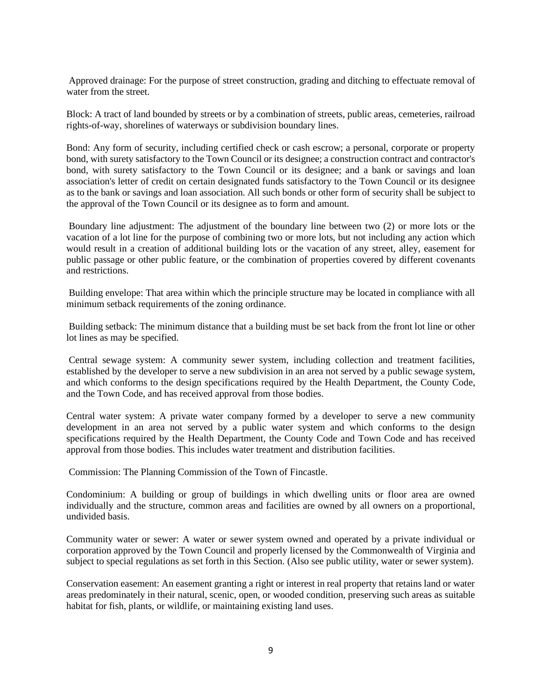Approved drainage: For the purpose of street construction, grading and ditching to effectuate removal of water from the street.

Block: A tract of land bounded by streets or by a combination of streets, public areas, cemeteries, railroad rights-of-way, shorelines of waterways or subdivision boundary lines.

Bond: Any form of security, including certified check or cash escrow; a personal, corporate or property bond, with surety satisfactory to the Town Council or its designee; a construction contract and contractor's bond, with surety satisfactory to the Town Council or its designee; and a bank or savings and loan association's letter of credit on certain designated funds satisfactory to the Town Council or its designee as to the bank or savings and loan association. All such bonds or other form of security shall be subject to the approval of the Town Council or its designee as to form and amount.

Boundary line adjustment: The adjustment of the boundary line between two (2) or more lots or the vacation of a lot line for the purpose of combining two or more lots, but not including any action which would result in a creation of additional building lots or the vacation of any street, alley, easement for public passage or other public feature, or the combination of properties covered by different covenants and restrictions.

Building envelope: That area within which the principle structure may be located in compliance with all minimum setback requirements of the zoning ordinance.

Building setback: The minimum distance that a building must be set back from the front lot line or other lot lines as may be specified.

Central sewage system: A community sewer system, including collection and treatment facilities, established by the developer to serve a new subdivision in an area not served by a public sewage system, and which conforms to the design specifications required by the Health Department, the County Code, and the Town Code, and has received approval from those bodies.

Central water system: A private water company formed by a developer to serve a new community development in an area not served by a public water system and which conforms to the design specifications required by the Health Department, the County Code and Town Code and has received approval from those bodies. This includes water treatment and distribution facilities.

Commission: The Planning Commission of the Town of Fincastle.

Condominium: A building or group of buildings in which dwelling units or floor area are owned individually and the structure, common areas and facilities are owned by all owners on a proportional, undivided basis.

Community water or sewer: A water or sewer system owned and operated by a private individual or corporation approved by the Town Council and properly licensed by the Commonwealth of Virginia and subject to special regulations as set forth in this Section. (Also see public utility, water or sewer system).

Conservation easement: An easement granting a right or interest in real property that retains land or water areas predominately in their natural, scenic, open, or wooded condition, preserving such areas as suitable habitat for fish, plants, or wildlife, or maintaining existing land uses.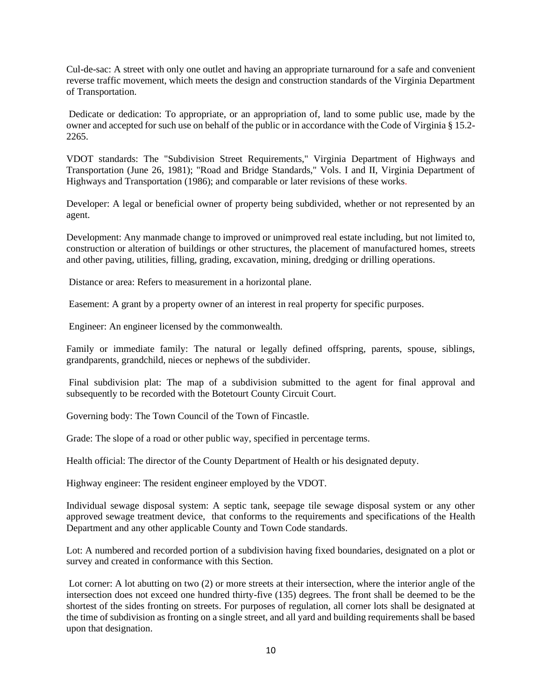Cul-de-sac: A street with only one outlet and having an appropriate turnaround for a safe and convenient reverse traffic movement, which meets the design and construction standards of the Virginia Department of Transportation.

Dedicate or dedication: To appropriate, or an appropriation of, land to some public use, made by the owner and accepted for such use on behalf of the public or in accordance with the Code of Virginia § 15.2- 2265.

VDOT standards: The "Subdivision Street Requirements," Virginia Department of Highways and Transportation (June 26, 1981); "Road and Bridge Standards," Vols. I and II, Virginia Department of Highways and Transportation (1986); and comparable or later revisions of these works.

Developer: A legal or beneficial owner of property being subdivided, whether or not represented by an agent.

Development: Any manmade change to improved or unimproved real estate including, but not limited to, construction or alteration of buildings or other structures, the placement of manufactured homes, streets and other paving, utilities, filling, grading, excavation, mining, dredging or drilling operations.

Distance or area: Refers to measurement in a horizontal plane.

Easement: A grant by a property owner of an interest in real property for specific purposes.

Engineer: An engineer licensed by the commonwealth.

Family or immediate family: The natural or legally defined offspring, parents, spouse, siblings, grandparents, grandchild, nieces or nephews of the subdivider.

Final subdivision plat: The map of a subdivision submitted to the agent for final approval and subsequently to be recorded with the Botetourt County Circuit Court.

Governing body: The Town Council of the Town of Fincastle.

Grade: The slope of a road or other public way, specified in percentage terms.

Health official: The director of the County Department of Health or his designated deputy.

Highway engineer: The resident engineer employed by the VDOT.

Individual sewage disposal system: A septic tank, seepage tile sewage disposal system or any other approved sewage treatment device, that conforms to the requirements and specifications of the Health Department and any other applicable County and Town Code standards.

Lot: A numbered and recorded portion of a subdivision having fixed boundaries, designated on a plot or survey and created in conformance with this Section.

Lot corner: A lot abutting on two (2) or more streets at their intersection, where the interior angle of the intersection does not exceed one hundred thirty-five (135) degrees. The front shall be deemed to be the shortest of the sides fronting on streets. For purposes of regulation, all corner lots shall be designated at the time of subdivision as fronting on a single street, and all yard and building requirements shall be based upon that designation.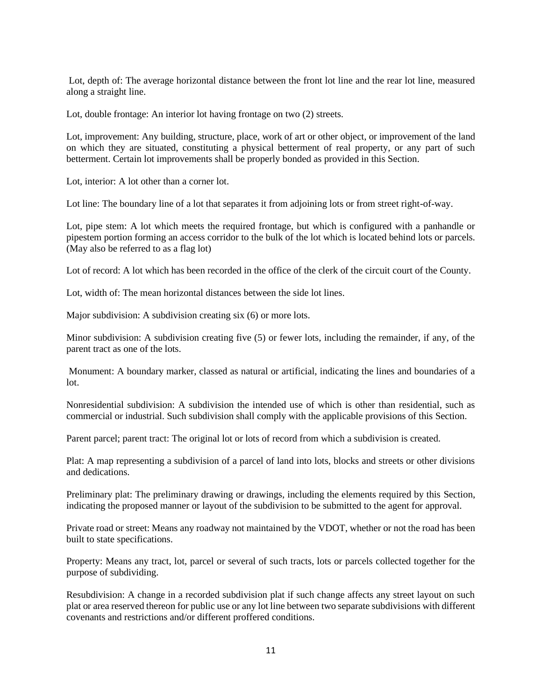Lot, depth of: The average horizontal distance between the front lot line and the rear lot line, measured along a straight line.

Lot, double frontage: An interior lot having frontage on two (2) streets.

Lot, improvement: Any building, structure, place, work of art or other object, or improvement of the land on which they are situated, constituting a physical betterment of real property, or any part of such betterment. Certain lot improvements shall be properly bonded as provided in this Section.

Lot, interior: A lot other than a corner lot.

Lot line: The boundary line of a lot that separates it from adjoining lots or from street right-of-way.

Lot, pipe stem: A lot which meets the required frontage, but which is configured with a panhandle or pipestem portion forming an access corridor to the bulk of the lot which is located behind lots or parcels. (May also be referred to as a flag lot)

Lot of record: A lot which has been recorded in the office of the clerk of the circuit court of the County.

Lot, width of: The mean horizontal distances between the side lot lines.

Major subdivision: A subdivision creating six (6) or more lots.

Minor subdivision: A subdivision creating five (5) or fewer lots, including the remainder, if any, of the parent tract as one of the lots.

Monument: A boundary marker, classed as natural or artificial, indicating the lines and boundaries of a lot.

Nonresidential subdivision: A subdivision the intended use of which is other than residential, such as commercial or industrial. Such subdivision shall comply with the applicable provisions of this Section.

Parent parcel; parent tract: The original lot or lots of record from which a subdivision is created.

Plat: A map representing a subdivision of a parcel of land into lots, blocks and streets or other divisions and dedications.

Preliminary plat: The preliminary drawing or drawings, including the elements required by this Section, indicating the proposed manner or layout of the subdivision to be submitted to the agent for approval.

Private road or street: Means any roadway not maintained by the VDOT, whether or not the road has been built to state specifications.

Property: Means any tract, lot, parcel or several of such tracts, lots or parcels collected together for the purpose of subdividing.

Resubdivision: A change in a recorded subdivision plat if such change affects any street layout on such plat or area reserved thereon for public use or any lot line between two separate subdivisions with different covenants and restrictions and/or different proffered conditions.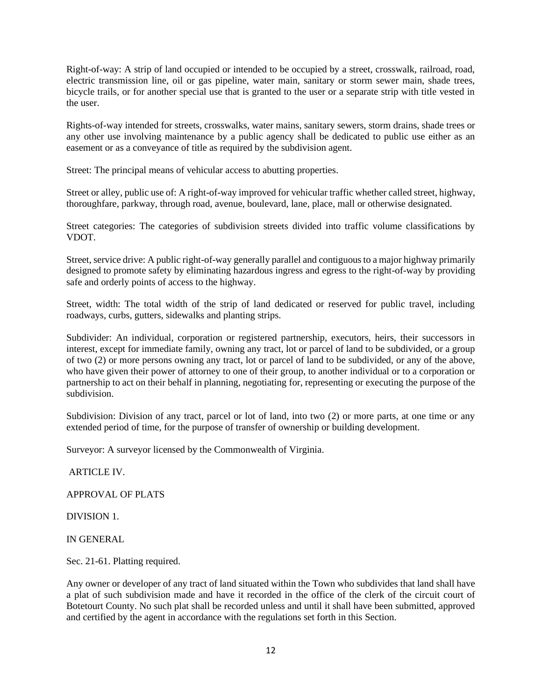Right-of-way: A strip of land occupied or intended to be occupied by a street, crosswalk, railroad, road, electric transmission line, oil or gas pipeline, water main, sanitary or storm sewer main, shade trees, bicycle trails, or for another special use that is granted to the user or a separate strip with title vested in the user.

Rights-of-way intended for streets, crosswalks, water mains, sanitary sewers, storm drains, shade trees or any other use involving maintenance by a public agency shall be dedicated to public use either as an easement or as a conveyance of title as required by the subdivision agent.

Street: The principal means of vehicular access to abutting properties.

Street or alley, public use of: A right-of-way improved for vehicular traffic whether called street, highway, thoroughfare, parkway, through road, avenue, boulevard, lane, place, mall or otherwise designated.

Street categories: The categories of subdivision streets divided into traffic volume classifications by VDOT.

Street, service drive: A public right-of-way generally parallel and contiguous to a major highway primarily designed to promote safety by eliminating hazardous ingress and egress to the right-of-way by providing safe and orderly points of access to the highway.

Street, width: The total width of the strip of land dedicated or reserved for public travel, including roadways, curbs, gutters, sidewalks and planting strips.

Subdivider: An individual, corporation or registered partnership, executors, heirs, their successors in interest, except for immediate family, owning any tract, lot or parcel of land to be subdivided, or a group of two (2) or more persons owning any tract, lot or parcel of land to be subdivided, or any of the above, who have given their power of attorney to one of their group, to another individual or to a corporation or partnership to act on their behalf in planning, negotiating for, representing or executing the purpose of the subdivision.

Subdivision: Division of any tract, parcel or lot of land, into two (2) or more parts, at one time or any extended period of time, for the purpose of transfer of ownership or building development.

Surveyor: A surveyor licensed by the Commonwealth of Virginia.

ARTICLE IV.

APPROVAL OF PLATS

DIVISION 1.

IN GENERAL

Sec. 21-61. Platting required.

Any owner or developer of any tract of land situated within the Town who subdivides that land shall have a plat of such subdivision made and have it recorded in the office of the clerk of the circuit court of Botetourt County. No such plat shall be recorded unless and until it shall have been submitted, approved and certified by the agent in accordance with the regulations set forth in this Section.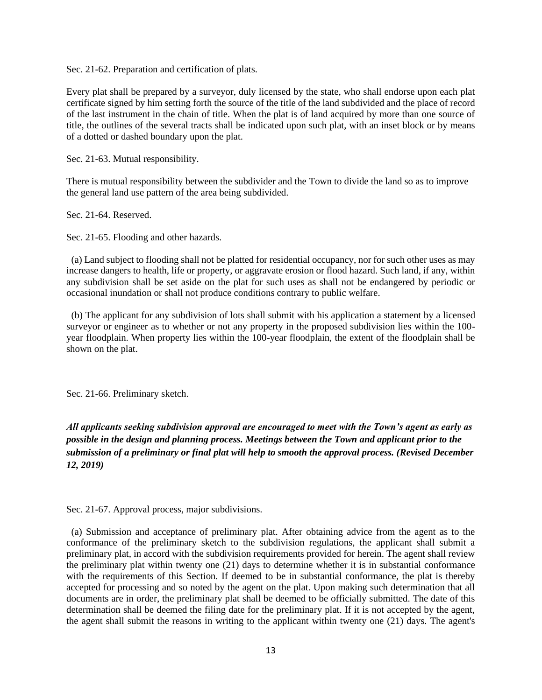Sec. 21-62. Preparation and certification of plats.

Every plat shall be prepared by a surveyor, duly licensed by the state, who shall endorse upon each plat certificate signed by him setting forth the source of the title of the land subdivided and the place of record of the last instrument in the chain of title. When the plat is of land acquired by more than one source of title, the outlines of the several tracts shall be indicated upon such plat, with an inset block or by means of a dotted or dashed boundary upon the plat.

Sec. 21-63. Mutual responsibility.

There is mutual responsibility between the subdivider and the Town to divide the land so as to improve the general land use pattern of the area being subdivided.

Sec. 21-64. Reserved.

Sec. 21-65. Flooding and other hazards.

 (a) Land subject to flooding shall not be platted for residential occupancy, nor for such other uses as may increase dangers to health, life or property, or aggravate erosion or flood hazard. Such land, if any, within any subdivision shall be set aside on the plat for such uses as shall not be endangered by periodic or occasional inundation or shall not produce conditions contrary to public welfare.

 (b) The applicant for any subdivision of lots shall submit with his application a statement by a licensed surveyor or engineer as to whether or not any property in the proposed subdivision lies within the 100 year floodplain. When property lies within the 100-year floodplain, the extent of the floodplain shall be shown on the plat.

Sec. 21-66. Preliminary sketch.

# *All applicants seeking subdivision approval are encouraged to meet with the Town's agent as early as possible in the design and planning process. Meetings between the Town and applicant prior to the submission of a preliminary or final plat will help to smooth the approval process. (Revised December 12, 2019)*

Sec. 21-67. Approval process, major subdivisions.

 (a) Submission and acceptance of preliminary plat. After obtaining advice from the agent as to the conformance of the preliminary sketch to the subdivision regulations, the applicant shall submit a preliminary plat, in accord with the subdivision requirements provided for herein. The agent shall review the preliminary plat within twenty one (21) days to determine whether it is in substantial conformance with the requirements of this Section. If deemed to be in substantial conformance, the plat is thereby accepted for processing and so noted by the agent on the plat. Upon making such determination that all documents are in order, the preliminary plat shall be deemed to be officially submitted. The date of this determination shall be deemed the filing date for the preliminary plat. If it is not accepted by the agent, the agent shall submit the reasons in writing to the applicant within twenty one (21) days. The agent's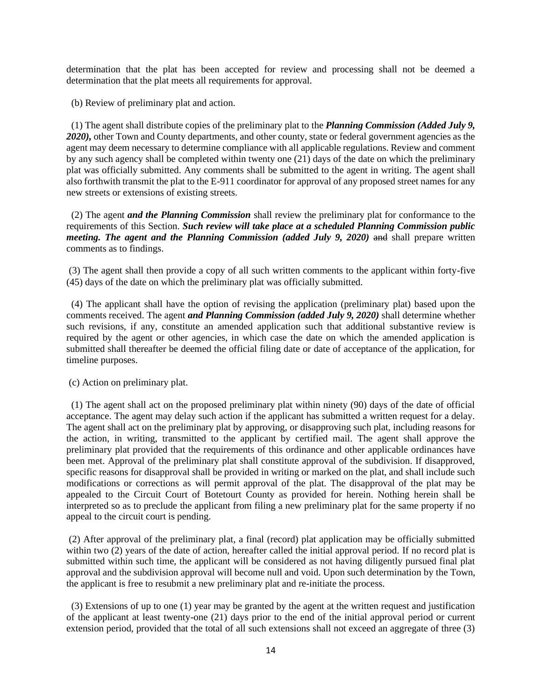determination that the plat has been accepted for review and processing shall not be deemed a determination that the plat meets all requirements for approval.

(b) Review of preliminary plat and action.

 (1) The agent shall distribute copies of the preliminary plat to the *Planning Commission (Added July 9,*  2020), other Town and County departments, and other county, state or federal government agencies as the agent may deem necessary to determine compliance with all applicable regulations. Review and comment by any such agency shall be completed within twenty one (21) days of the date on which the preliminary plat was officially submitted. Any comments shall be submitted to the agent in writing. The agent shall also forthwith transmit the plat to the E-911 coordinator for approval of any proposed street names for any new streets or extensions of existing streets.

 (2) The agent *and the Planning Commission* shall review the preliminary plat for conformance to the requirements of this Section. *Such review will take place at a scheduled Planning Commission public meeting. The agent and the Planning Commission (added July 9, 2020)* and shall prepare written comments as to findings.

(3) The agent shall then provide a copy of all such written comments to the applicant within forty-five (45) days of the date on which the preliminary plat was officially submitted.

 (4) The applicant shall have the option of revising the application (preliminary plat) based upon the comments received. The agent *and Planning Commission (added July 9, 2020)* shall determine whether such revisions, if any, constitute an amended application such that additional substantive review is required by the agent or other agencies, in which case the date on which the amended application is submitted shall thereafter be deemed the official filing date or date of acceptance of the application, for timeline purposes.

(c) Action on preliminary plat.

 (1) The agent shall act on the proposed preliminary plat within ninety (90) days of the date of official acceptance. The agent may delay such action if the applicant has submitted a written request for a delay. The agent shall act on the preliminary plat by approving, or disapproving such plat, including reasons for the action, in writing, transmitted to the applicant by certified mail. The agent shall approve the preliminary plat provided that the requirements of this ordinance and other applicable ordinances have been met. Approval of the preliminary plat shall constitute approval of the subdivision. If disapproved, specific reasons for disapproval shall be provided in writing or marked on the plat, and shall include such modifications or corrections as will permit approval of the plat. The disapproval of the plat may be appealed to the Circuit Court of Botetourt County as provided for herein. Nothing herein shall be interpreted so as to preclude the applicant from filing a new preliminary plat for the same property if no appeal to the circuit court is pending.

(2) After approval of the preliminary plat, a final (record) plat application may be officially submitted within two (2) years of the date of action, hereafter called the initial approval period. If no record plat is submitted within such time, the applicant will be considered as not having diligently pursued final plat approval and the subdivision approval will become null and void. Upon such determination by the Town, the applicant is free to resubmit a new preliminary plat and re-initiate the process.

 (3) Extensions of up to one (1) year may be granted by the agent at the written request and justification of the applicant at least twenty-one (21) days prior to the end of the initial approval period or current extension period, provided that the total of all such extensions shall not exceed an aggregate of three (3)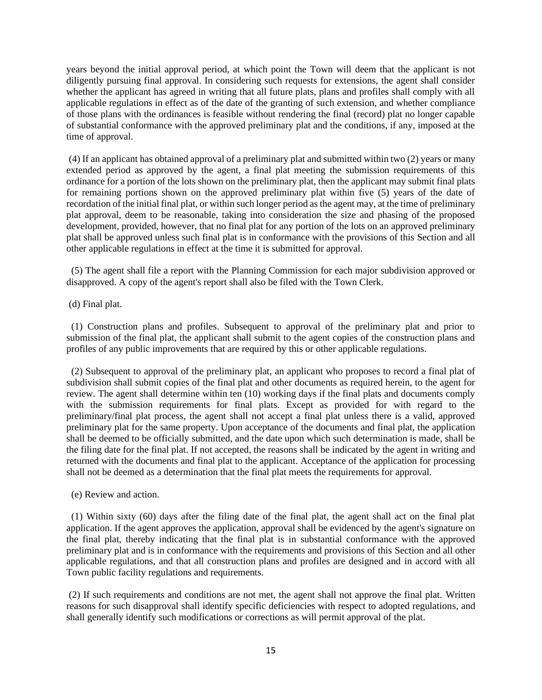years beyond the initial approval period, at which point the Town will deem that the applicant is not diligently pursuing final approval. In considering such requests for extensions, the agent shall consider whether the applicant has agreed in writing that all future plats, plans and profiles shall comply with all applicable regulations in effect as of the date of the granting of such extension, and whether compliance of those plans with the ordinances is feasible without rendering the final (record) plat no longer capable of substantial conformance with the approved preliminary plat and the conditions, if any, imposed at the time of approval.

(4) If an applicant has obtained approval of a preliminary plat and submitted within two (2) years or many extended period as approved by the agent, a final plat meeting the submission requirements of this ordinance for a portion of the lots shown on the preliminary plat, then the applicant may submit final plats for remaining portions shown on the approved preliminary plat within five (5) years of the date of recordation of the initial final plat, or within such longer period as the agent may, at the time of preliminary plat approval, deem to be reasonable, taking into consideration the size and phasing of the proposed development, provided, however, that no final plat for any portion of the lots on an approved preliminary plat shall be approved unless such final plat is in conformance with the provisions of this Section and all other applicable regulations in effect at the time it is submitted for approval.

 (5) The agent shall file a report with the Planning Commission for each major subdivision approved or disapproved. A copy of the agent's report shall also be filed with the Town Clerk.

(d) Final plat.

 (1) Construction plans and profiles. Subsequent to approval of the preliminary plat and prior to submission of the final plat, the applicant shall submit to the agent copies of the construction plans and profiles of any public improvements that are required by this or other applicable regulations.

 (2) Subsequent to approval of the preliminary plat, an applicant who proposes to record a final plat of subdivision shall submit copies of the final plat and other documents as required herein, to the agent for review. The agent shall determine within ten (10) working days if the final plats and documents comply with the submission requirements for final plats. Except as provided for with regard to the preliminary/final plat process, the agent shall not accept a final plat unless there is a valid, approved preliminary plat for the same property. Upon acceptance of the documents and final plat, the application shall be deemed to be officially submitted, and the date upon which such determination is made, shall be the filing date for the final plat. If not accepted, the reasons shall be indicated by the agent in writing and returned with the documents and final plat to the applicant. Acceptance of the application for processing shall not be deemed as a determination that the final plat meets the requirements for approval.

(e) Review and action.

 (1) Within sixty (60) days after the filing date of the final plat, the agent shall act on the final plat application. If the agent approves the application, approval shall be evidenced by the agent's signature on the final plat, thereby indicating that the final plat is in substantial conformance with the approved preliminary plat and is in conformance with the requirements and provisions of this Section and all other applicable regulations, and that all construction plans and profiles are designed and in accord with all Town public facility regulations and requirements.

(2) If such requirements and conditions are not met, the agent shall not approve the final plat. Written reasons for such disapproval shall identify specific deficiencies with respect to adopted regulations, and shall generally identify such modifications or corrections as will permit approval of the plat.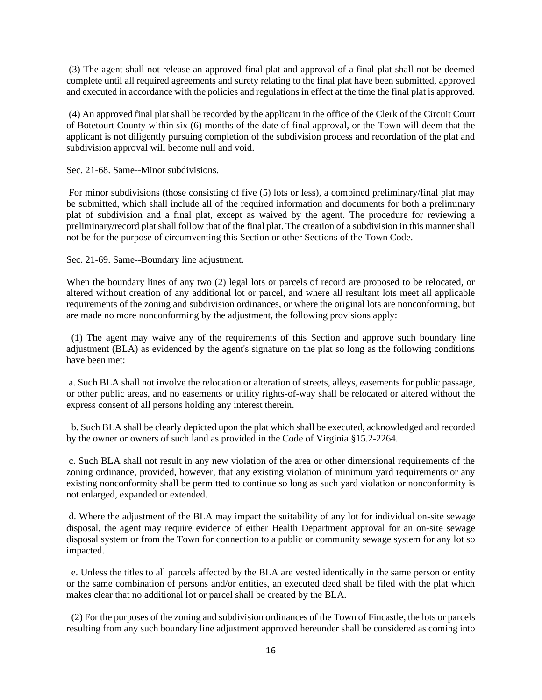(3) The agent shall not release an approved final plat and approval of a final plat shall not be deemed complete until all required agreements and surety relating to the final plat have been submitted, approved and executed in accordance with the policies and regulations in effect at the time the final plat is approved.

(4) An approved final plat shall be recorded by the applicant in the office of the Clerk of the Circuit Court of Botetourt County within six (6) months of the date of final approval, or the Town will deem that the applicant is not diligently pursuing completion of the subdivision process and recordation of the plat and subdivision approval will become null and void.

Sec. 21-68. Same--Minor subdivisions.

For minor subdivisions (those consisting of five (5) lots or less), a combined preliminary/final plat may be submitted, which shall include all of the required information and documents for both a preliminary plat of subdivision and a final plat, except as waived by the agent. The procedure for reviewing a preliminary/record plat shall follow that of the final plat. The creation of a subdivision in this manner shall not be for the purpose of circumventing this Section or other Sections of the Town Code.

Sec. 21-69. Same--Boundary line adjustment.

When the boundary lines of any two (2) legal lots or parcels of record are proposed to be relocated, or altered without creation of any additional lot or parcel, and where all resultant lots meet all applicable requirements of the zoning and subdivision ordinances, or where the original lots are nonconforming, but are made no more nonconforming by the adjustment, the following provisions apply:

 (1) The agent may waive any of the requirements of this Section and approve such boundary line adjustment (BLA) as evidenced by the agent's signature on the plat so long as the following conditions have been met:

a. Such BLA shall not involve the relocation or alteration of streets, alleys, easements for public passage, or other public areas, and no easements or utility rights-of-way shall be relocated or altered without the express consent of all persons holding any interest therein.

 b. Such BLA shall be clearly depicted upon the plat which shall be executed, acknowledged and recorded by the owner or owners of such land as provided in the Code of Virginia §15.2-2264.

c. Such BLA shall not result in any new violation of the area or other dimensional requirements of the zoning ordinance, provided, however, that any existing violation of minimum yard requirements or any existing nonconformity shall be permitted to continue so long as such yard violation or nonconformity is not enlarged, expanded or extended.

d. Where the adjustment of the BLA may impact the suitability of any lot for individual on-site sewage disposal, the agent may require evidence of either Health Department approval for an on-site sewage disposal system or from the Town for connection to a public or community sewage system for any lot so impacted.

 e. Unless the titles to all parcels affected by the BLA are vested identically in the same person or entity or the same combination of persons and/or entities, an executed deed shall be filed with the plat which makes clear that no additional lot or parcel shall be created by the BLA.

 (2) For the purposes of the zoning and subdivision ordinances of the Town of Fincastle, the lots or parcels resulting from any such boundary line adjustment approved hereunder shall be considered as coming into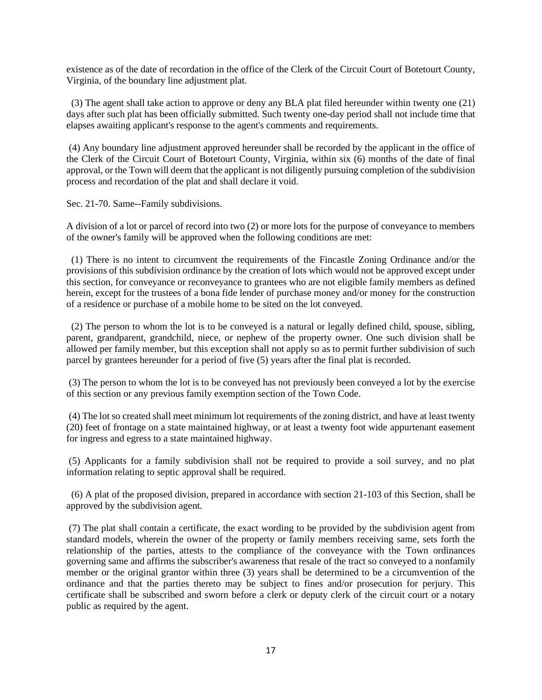existence as of the date of recordation in the office of the Clerk of the Circuit Court of Botetourt County, Virginia, of the boundary line adjustment plat.

 (3) The agent shall take action to approve or deny any BLA plat filed hereunder within twenty one (21) days after such plat has been officially submitted. Such twenty one-day period shall not include time that elapses awaiting applicant's response to the agent's comments and requirements.

(4) Any boundary line adjustment approved hereunder shall be recorded by the applicant in the office of the Clerk of the Circuit Court of Botetourt County, Virginia, within six (6) months of the date of final approval, or the Town will deem that the applicant is not diligently pursuing completion of the subdivision process and recordation of the plat and shall declare it void.

Sec. 21-70. Same--Family subdivisions.

A division of a lot or parcel of record into two (2) or more lots for the purpose of conveyance to members of the owner's family will be approved when the following conditions are met:

 (1) There is no intent to circumvent the requirements of the Fincastle Zoning Ordinance and/or the provisions of this subdivision ordinance by the creation of lots which would not be approved except under this section, for conveyance or reconveyance to grantees who are not eligible family members as defined herein, except for the trustees of a bona fide lender of purchase money and/or money for the construction of a residence or purchase of a mobile home to be sited on the lot conveyed.

 (2) The person to whom the lot is to be conveyed is a natural or legally defined child, spouse, sibling, parent, grandparent, grandchild, niece, or nephew of the property owner. One such division shall be allowed per family member, but this exception shall not apply so as to permit further subdivision of such parcel by grantees hereunder for a period of five (5) years after the final plat is recorded.

(3) The person to whom the lot is to be conveyed has not previously been conveyed a lot by the exercise of this section or any previous family exemption section of the Town Code.

(4) The lot so created shall meet minimum lot requirements of the zoning district, and have at least twenty (20) feet of frontage on a state maintained highway, or at least a twenty foot wide appurtenant easement for ingress and egress to a state maintained highway.

(5) Applicants for a family subdivision shall not be required to provide a soil survey, and no plat information relating to septic approval shall be required.

 (6) A plat of the proposed division, prepared in accordance with section 21-103 of this Section, shall be approved by the subdivision agent.

(7) The plat shall contain a certificate, the exact wording to be provided by the subdivision agent from standard models, wherein the owner of the property or family members receiving same, sets forth the relationship of the parties, attests to the compliance of the conveyance with the Town ordinances governing same and affirms the subscriber's awareness that resale of the tract so conveyed to a nonfamily member or the original grantor within three (3) years shall be determined to be a circumvention of the ordinance and that the parties thereto may be subject to fines and/or prosecution for perjury. This certificate shall be subscribed and sworn before a clerk or deputy clerk of the circuit court or a notary public as required by the agent.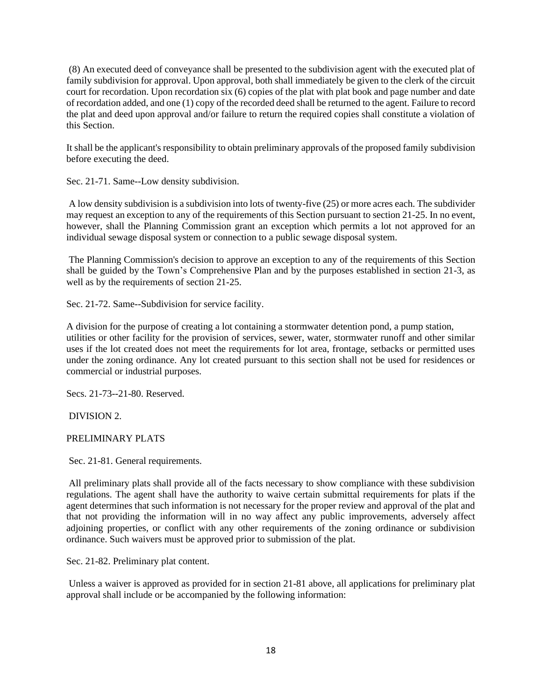(8) An executed deed of conveyance shall be presented to the subdivision agent with the executed plat of family subdivision for approval. Upon approval, both shall immediately be given to the clerk of the circuit court for recordation. Upon recordation six (6) copies of the plat with plat book and page number and date of recordation added, and one (1) copy of the recorded deed shall be returned to the agent. Failure to record the plat and deed upon approval and/or failure to return the required copies shall constitute a violation of this Section.

It shall be the applicant's responsibility to obtain preliminary approvals of the proposed family subdivision before executing the deed.

Sec. 21-71. Same--Low density subdivision.

A low density subdivision is a subdivision into lots of twenty-five (25) or more acres each. The subdivider may request an exception to any of the requirements of this Section pursuant to section 21-25. In no event, however, shall the Planning Commission grant an exception which permits a lot not approved for an individual sewage disposal system or connection to a public sewage disposal system.

The Planning Commission's decision to approve an exception to any of the requirements of this Section shall be guided by the Town's Comprehensive Plan and by the purposes established in section 21-3, as well as by the requirements of section 21-25.

Sec. 21-72. Same--Subdivision for service facility.

A division for the purpose of creating a lot containing a stormwater detention pond, a pump station, utilities or other facility for the provision of services, sewer, water, stormwater runoff and other similar uses if the lot created does not meet the requirements for lot area, frontage, setbacks or permitted uses under the zoning ordinance. Any lot created pursuant to this section shall not be used for residences or commercial or industrial purposes.

Secs. 21-73--21-80. Reserved.

DIVISION 2.

PRELIMINARY PLATS

Sec. 21-81. General requirements.

All preliminary plats shall provide all of the facts necessary to show compliance with these subdivision regulations. The agent shall have the authority to waive certain submittal requirements for plats if the agent determines that such information is not necessary for the proper review and approval of the plat and that not providing the information will in no way affect any public improvements, adversely affect adjoining properties, or conflict with any other requirements of the zoning ordinance or subdivision ordinance. Such waivers must be approved prior to submission of the plat.

Sec. 21-82. Preliminary plat content.

Unless a waiver is approved as provided for in section 21-81 above, all applications for preliminary plat approval shall include or be accompanied by the following information: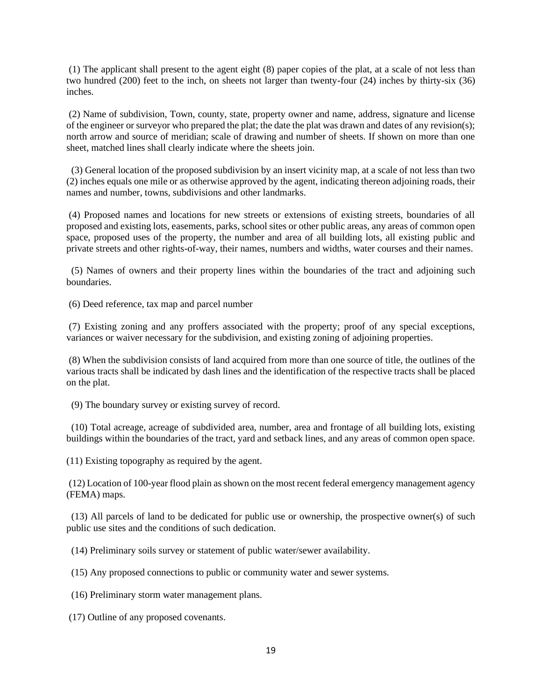(1) The applicant shall present to the agent eight (8) paper copies of the plat, at a scale of not less than two hundred (200) feet to the inch, on sheets not larger than twenty-four (24) inches by thirty-six (36) inches.

(2) Name of subdivision, Town, county, state, property owner and name, address, signature and license of the engineer or surveyor who prepared the plat; the date the plat was drawn and dates of any revision(s); north arrow and source of meridian; scale of drawing and number of sheets. If shown on more than one sheet, matched lines shall clearly indicate where the sheets join.

 (3) General location of the proposed subdivision by an insert vicinity map, at a scale of not less than two (2) inches equals one mile or as otherwise approved by the agent, indicating thereon adjoining roads, their names and number, towns, subdivisions and other landmarks.

(4) Proposed names and locations for new streets or extensions of existing streets, boundaries of all proposed and existing lots, easements, parks, school sites or other public areas, any areas of common open space, proposed uses of the property, the number and area of all building lots, all existing public and private streets and other rights-of-way, their names, numbers and widths, water courses and their names.

 (5) Names of owners and their property lines within the boundaries of the tract and adjoining such boundaries.

(6) Deed reference, tax map and parcel number

(7) Existing zoning and any proffers associated with the property; proof of any special exceptions, variances or waiver necessary for the subdivision, and existing zoning of adjoining properties.

(8) When the subdivision consists of land acquired from more than one source of title, the outlines of the various tracts shall be indicated by dash lines and the identification of the respective tracts shall be placed on the plat.

(9) The boundary survey or existing survey of record.

 (10) Total acreage, acreage of subdivided area, number, area and frontage of all building lots, existing buildings within the boundaries of the tract, yard and setback lines, and any areas of common open space.

(11) Existing topography as required by the agent.

(12) Location of 100-year flood plain as shown on the most recent federal emergency management agency (FEMA) maps.

 (13) All parcels of land to be dedicated for public use or ownership, the prospective owner(s) of such public use sites and the conditions of such dedication.

(14) Preliminary soils survey or statement of public water/sewer availability.

(15) Any proposed connections to public or community water and sewer systems.

(16) Preliminary storm water management plans.

(17) Outline of any proposed covenants.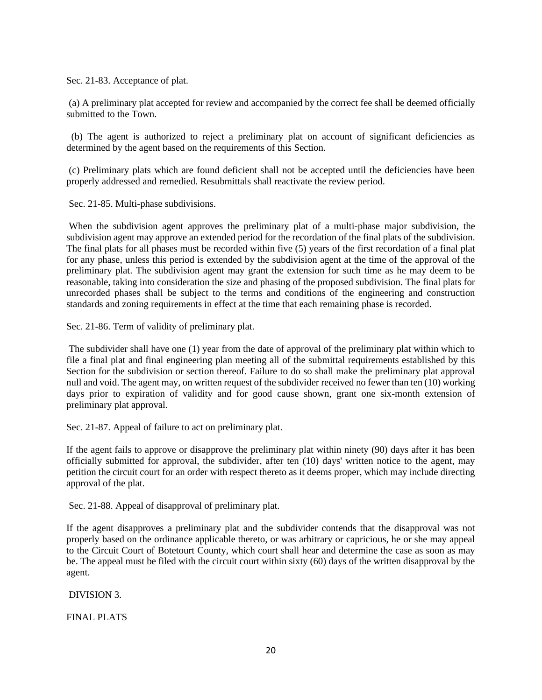Sec. 21-83. Acceptance of plat.

(a) A preliminary plat accepted for review and accompanied by the correct fee shall be deemed officially submitted to the Town.

 (b) The agent is authorized to reject a preliminary plat on account of significant deficiencies as determined by the agent based on the requirements of this Section.

(c) Preliminary plats which are found deficient shall not be accepted until the deficiencies have been properly addressed and remedied. Resubmittals shall reactivate the review period.

Sec. 21-85. Multi-phase subdivisions.

When the subdivision agent approves the preliminary plat of a multi-phase major subdivision, the subdivision agent may approve an extended period for the recordation of the final plats of the subdivision. The final plats for all phases must be recorded within five (5) years of the first recordation of a final plat for any phase, unless this period is extended by the subdivision agent at the time of the approval of the preliminary plat. The subdivision agent may grant the extension for such time as he may deem to be reasonable, taking into consideration the size and phasing of the proposed subdivision. The final plats for unrecorded phases shall be subject to the terms and conditions of the engineering and construction standards and zoning requirements in effect at the time that each remaining phase is recorded.

Sec. 21-86. Term of validity of preliminary plat.

The subdivider shall have one (1) year from the date of approval of the preliminary plat within which to file a final plat and final engineering plan meeting all of the submittal requirements established by this Section for the subdivision or section thereof. Failure to do so shall make the preliminary plat approval null and void. The agent may, on written request of the subdivider received no fewer than ten (10) working days prior to expiration of validity and for good cause shown, grant one six-month extension of preliminary plat approval.

Sec. 21-87. Appeal of failure to act on preliminary plat.

If the agent fails to approve or disapprove the preliminary plat within ninety (90) days after it has been officially submitted for approval, the subdivider, after ten (10) days' written notice to the agent, may petition the circuit court for an order with respect thereto as it deems proper, which may include directing approval of the plat.

Sec. 21-88. Appeal of disapproval of preliminary plat.

If the agent disapproves a preliminary plat and the subdivider contends that the disapproval was not properly based on the ordinance applicable thereto, or was arbitrary or capricious, he or she may appeal to the Circuit Court of Botetourt County, which court shall hear and determine the case as soon as may be. The appeal must be filed with the circuit court within sixty (60) days of the written disapproval by the agent.

DIVISION 3.

FINAL PLATS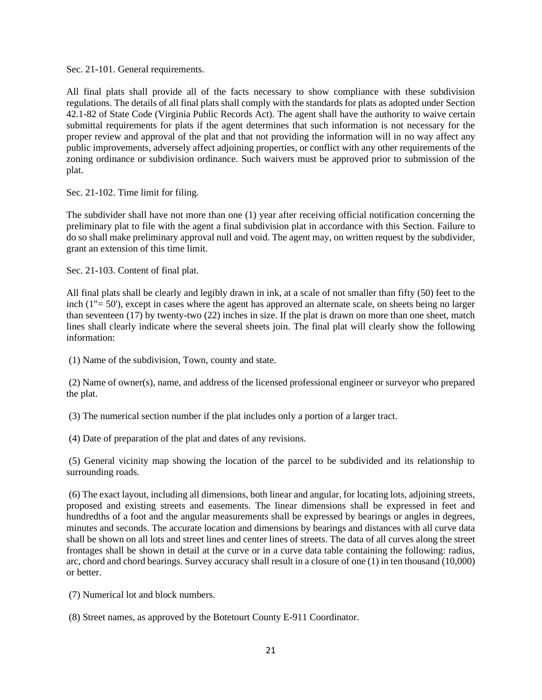Sec. 21-101. General requirements.

All final plats shall provide all of the facts necessary to show compliance with these subdivision regulations. The details of all final plats shall comply with the standards for plats as adopted under Section 42.1-82 of State Code (Virginia Public Records Act). The agent shall have the authority to waive certain submittal requirements for plats if the agent determines that such information is not necessary for the proper review and approval of the plat and that not providing the information will in no way affect any public improvements, adversely affect adjoining properties, or conflict with any other requirements of the zoning ordinance or subdivision ordinance. Such waivers must be approved prior to submission of the plat.

Sec. 21-102. Time limit for filing.

The subdivider shall have not more than one (1) year after receiving official notification concerning the preliminary plat to file with the agent a final subdivision plat in accordance with this Section. Failure to do so shall make preliminary approval null and void. The agent may, on written request by the subdivider, grant an extension of this time limit.

Sec. 21-103. Content of final plat.

All final plats shall be clearly and legibly drawn in ink, at a scale of not smaller than fifty (50) feet to the inch (1"= 50'), except in cases where the agent has approved an alternate scale, on sheets being no larger than seventeen (17) by twenty-two (22) inches in size. If the plat is drawn on more than one sheet, match lines shall clearly indicate where the several sheets join. The final plat will clearly show the following information:

(1) Name of the subdivision, Town, county and state.

(2) Name of owner(s), name, and address of the licensed professional engineer or surveyor who prepared the plat.

(3) The numerical section number if the plat includes only a portion of a larger tract.

(4) Date of preparation of the plat and dates of any revisions.

(5) General vicinity map showing the location of the parcel to be subdivided and its relationship to surrounding roads.

(6) The exact layout, including all dimensions, both linear and angular, for locating lots, adjoining streets, proposed and existing streets and easements. The linear dimensions shall be expressed in feet and hundredths of a foot and the angular measurements shall be expressed by bearings or angles in degrees, minutes and seconds. The accurate location and dimensions by bearings and distances with all curve data shall be shown on all lots and street lines and center lines of streets. The data of all curves along the street frontages shall be shown in detail at the curve or in a curve data table containing the following: radius, arc, chord and chord bearings. Survey accuracy shall result in a closure of one (1) in ten thousand (10,000) or better.

(7) Numerical lot and block numbers.

(8) Street names, as approved by the Botetourt County E-911 Coordinator.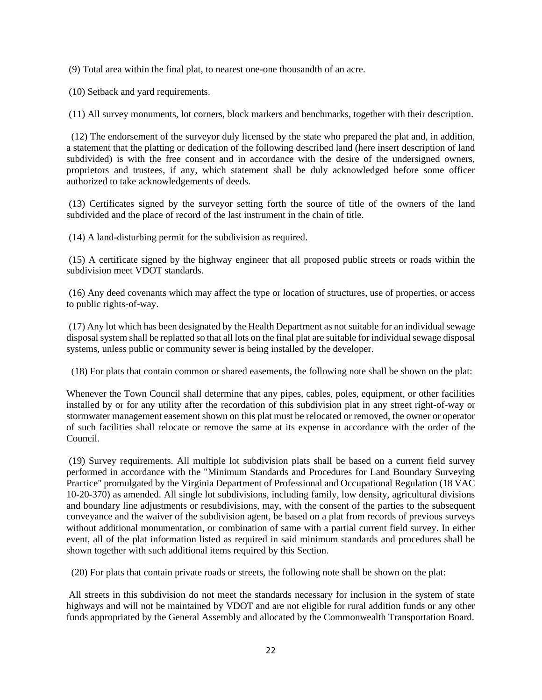(9) Total area within the final plat, to nearest one-one thousandth of an acre.

(10) Setback and yard requirements.

(11) All survey monuments, lot corners, block markers and benchmarks, together with their description.

 (12) The endorsement of the surveyor duly licensed by the state who prepared the plat and, in addition, a statement that the platting or dedication of the following described land (here insert description of land subdivided) is with the free consent and in accordance with the desire of the undersigned owners, proprietors and trustees, if any, which statement shall be duly acknowledged before some officer authorized to take acknowledgements of deeds.

(13) Certificates signed by the surveyor setting forth the source of title of the owners of the land subdivided and the place of record of the last instrument in the chain of title.

(14) A land-disturbing permit for the subdivision as required.

(15) A certificate signed by the highway engineer that all proposed public streets or roads within the subdivision meet VDOT standards.

(16) Any deed covenants which may affect the type or location of structures, use of properties, or access to public rights-of-way.

(17) Any lot which has been designated by the Health Department as not suitable for an individual sewage disposal system shall be replatted so that all lots on the final plat are suitable for individual sewage disposal systems, unless public or community sewer is being installed by the developer.

(18) For plats that contain common or shared easements, the following note shall be shown on the plat:

Whenever the Town Council shall determine that any pipes, cables, poles, equipment, or other facilities installed by or for any utility after the recordation of this subdivision plat in any street right-of-way or stormwater management easement shown on this plat must be relocated or removed, the owner or operator of such facilities shall relocate or remove the same at its expense in accordance with the order of the Council.

(19) Survey requirements. All multiple lot subdivision plats shall be based on a current field survey performed in accordance with the "Minimum Standards and Procedures for Land Boundary Surveying Practice" promulgated by the Virginia Department of Professional and Occupational Regulation (18 VAC 10-20-370) as amended. All single lot subdivisions, including family, low density, agricultural divisions and boundary line adjustments or resubdivisions, may, with the consent of the parties to the subsequent conveyance and the waiver of the subdivision agent, be based on a plat from records of previous surveys without additional monumentation, or combination of same with a partial current field survey. In either event, all of the plat information listed as required in said minimum standards and procedures shall be shown together with such additional items required by this Section.

(20) For plats that contain private roads or streets, the following note shall be shown on the plat:

All streets in this subdivision do not meet the standards necessary for inclusion in the system of state highways and will not be maintained by VDOT and are not eligible for rural addition funds or any other funds appropriated by the General Assembly and allocated by the Commonwealth Transportation Board.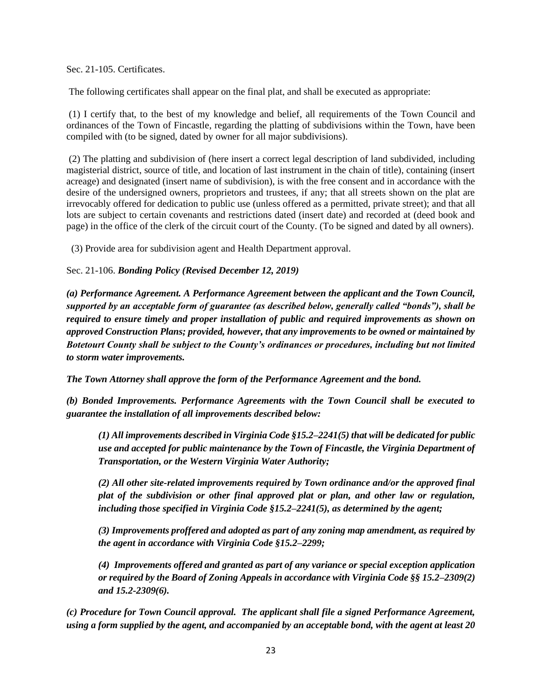Sec. 21-105. Certificates.

The following certificates shall appear on the final plat, and shall be executed as appropriate:

(1) I certify that, to the best of my knowledge and belief, all requirements of the Town Council and ordinances of the Town of Fincastle, regarding the platting of subdivisions within the Town, have been compiled with (to be signed, dated by owner for all major subdivisions).

(2) The platting and subdivision of (here insert a correct legal description of land subdivided, including magisterial district, source of title, and location of last instrument in the chain of title), containing (insert acreage) and designated (insert name of subdivision), is with the free consent and in accordance with the desire of the undersigned owners, proprietors and trustees, if any; that all streets shown on the plat are irrevocably offered for dedication to public use (unless offered as a permitted, private street); and that all lots are subject to certain covenants and restrictions dated (insert date) and recorded at (deed book and page) in the office of the clerk of the circuit court of the County. (To be signed and dated by all owners).

(3) Provide area for subdivision agent and Health Department approval.

# Sec. 21-106. *Bonding Policy (Revised December 12, 2019)*

*(a) Performance Agreement. A Performance Agreement between the applicant and the Town Council, supported by an acceptable form of guarantee (as described below, generally called "bonds"), shall be required to ensure timely and proper installation of public and required improvements as shown on approved Construction Plans; provided, however, that any improvements to be owned or maintained by Botetourt County shall be subject to the County's ordinances or procedures, including but not limited to storm water improvements.* 

*The Town Attorney shall approve the form of the Performance Agreement and the bond.*

*(b) Bonded Improvements. Performance Agreements with the Town Council shall be executed to guarantee the installation of all improvements described below:* 

*(1) All improvements described in Virginia Code §15.2–2241(5) that will be dedicated for public use and accepted for public maintenance by the Town of Fincastle, the Virginia Department of Transportation, or the Western Virginia Water Authority;* 

*(2) All other site-related improvements required by Town ordinance and/or the approved final plat of the subdivision or other final approved plat or plan, and other law or regulation, including those specified in Virginia Code §15.2–2241(5), as determined by the agent;* 

*(3) Improvements proffered and adopted as part of any zoning map amendment, as required by the agent in accordance with Virginia Code §15.2–2299;* 

*(4) Improvements offered and granted as part of any variance or special exception application or required by the Board of Zoning Appeals in accordance with Virginia Code §§ 15.2–2309(2) and 15.2-2309(6).* 

*(c) Procedure for Town Council approval. The applicant shall file a signed Performance Agreement, using a form supplied by the agent, and accompanied by an acceptable bond, with the agent at least 20*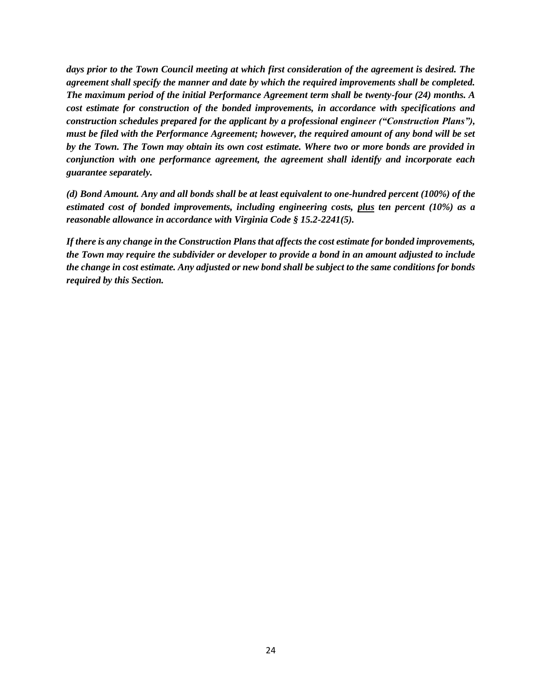*days prior to the Town Council meeting at which first consideration of the agreement is desired. The agreement shall specify the manner and date by which the required improvements shall be completed. The maximum period of the initial Performance Agreement term shall be twenty-four (24) months. A cost estimate for construction of the bonded improvements, in accordance with specifications and construction schedules prepared for the applicant by a professional engineer ("Construction Plans"), must be filed with the Performance Agreement; however, the required amount of any bond will be set by the Town. The Town may obtain its own cost estimate. Where two or more bonds are provided in conjunction with one performance agreement, the agreement shall identify and incorporate each guarantee separately.* 

*(d) Bond Amount. Any and all bonds shall be at least equivalent to one-hundred percent (100%) of the estimated cost of bonded improvements, including engineering costs, plus ten percent (10%) as a reasonable allowance in accordance with Virginia Code § 15.2-2241(5).* 

*If there is any change in the Construction Plans that affects the cost estimate for bonded improvements, the Town may require the subdivider or developer to provide a bond in an amount adjusted to include the change in cost estimate. Any adjusted or new bond shall be subject to the same conditions for bonds required by this Section.*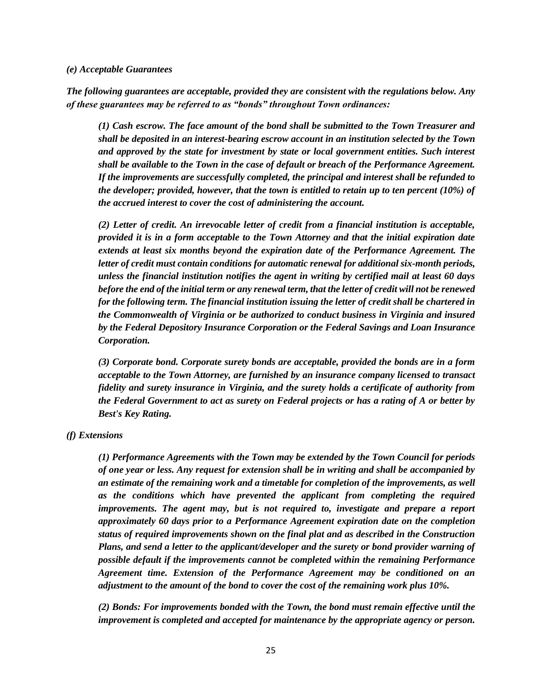#### *(e) Acceptable Guarantees*

*The following guarantees are acceptable, provided they are consistent with the regulations below. Any of these guarantees may be referred to as "bonds" throughout Town ordinances:* 

*(1) Cash escrow. The face amount of the bond shall be submitted to the Town Treasurer and shall be deposited in an interest-bearing escrow account in an institution selected by the Town and approved by the state for investment by state or local government entities. Such interest shall be available to the Town in the case of default or breach of the Performance Agreement. If the improvements are successfully completed, the principal and interest shall be refunded to the developer; provided, however, that the town is entitled to retain up to ten percent (10%) of the accrued interest to cover the cost of administering the account.* 

*(2) Letter of credit. An irrevocable letter of credit from a financial institution is acceptable, provided it is in a form acceptable to the Town Attorney and that the initial expiration date extends at least six months beyond the expiration date of the Performance Agreement. The letter of credit must contain conditions for automatic renewal for additional six-month periods, unless the financial institution notifies the agent in writing by certified mail at least 60 days before the end of the initial term or any renewal term, that the letter of credit will not be renewed for the following term. The financial institution issuing the letter of credit shall be chartered in the Commonwealth of Virginia or be authorized to conduct business in Virginia and insured by the Federal Depository Insurance Corporation or the Federal Savings and Loan Insurance Corporation.* 

*(3) Corporate bond. Corporate surety bonds are acceptable, provided the bonds are in a form acceptable to the Town Attorney, are furnished by an insurance company licensed to transact fidelity and surety insurance in Virginia, and the surety holds a certificate of authority from the Federal Government to act as surety on Federal projects or has a rating of A or better by Best's Key Rating.* 

#### *(f) Extensions*

*(1) Performance Agreements with the Town may be extended by the Town Council for periods of one year or less. Any request for extension shall be in writing and shall be accompanied by an estimate of the remaining work and a timetable for completion of the improvements, as well as the conditions which have prevented the applicant from completing the required improvements. The agent may, but is not required to, investigate and prepare a report approximately 60 days prior to a Performance Agreement expiration date on the completion status of required improvements shown on the final plat and as described in the Construction Plans, and send a letter to the applicant/developer and the surety or bond provider warning of possible default if the improvements cannot be completed within the remaining Performance Agreement time. Extension of the Performance Agreement may be conditioned on an adjustment to the amount of the bond to cover the cost of the remaining work plus 10%.* 

*(2) Bonds: For improvements bonded with the Town, the bond must remain effective until the improvement is completed and accepted for maintenance by the appropriate agency or person.*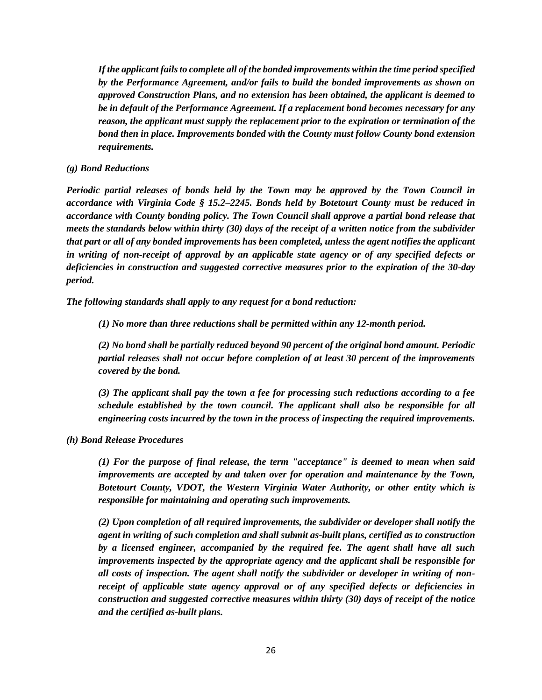*If the applicant fails to complete all of the bonded improvements within the time period specified by the Performance Agreement, and/or fails to build the bonded improvements as shown on approved Construction Plans, and no extension has been obtained, the applicant is deemed to be in default of the Performance Agreement. If a replacement bond becomes necessary for any reason, the applicant must supply the replacement prior to the expiration or termination of the bond then in place. Improvements bonded with the County must follow County bond extension requirements.* 

# *(g) Bond Reductions*

*Periodic partial releases of bonds held by the Town may be approved by the Town Council in accordance with Virginia Code § 15.2–2245. Bonds held by Botetourt County must be reduced in accordance with County bonding policy. The Town Council shall approve a partial bond release that meets the standards below within thirty (30) days of the receipt of a written notice from the subdivider that part or all of any bonded improvements has been completed, unless the agent notifies the applicant in writing of non-receipt of approval by an applicable state agency or of any specified defects or deficiencies in construction and suggested corrective measures prior to the expiration of the 30-day period.* 

*The following standards shall apply to any request for a bond reduction:* 

*(1) No more than three reductions shall be permitted within any 12-month period.* 

*(2) No bond shall be partially reduced beyond 90 percent of the original bond amount. Periodic partial releases shall not occur before completion of at least 30 percent of the improvements covered by the bond.*

*(3) The applicant shall pay the town a fee for processing such reductions according to a fee schedule established by the town council. The applicant shall also be responsible for all engineering costs incurred by the town in the process of inspecting the required improvements.* 

# *(h) Bond Release Procedures*

*(1) For the purpose of final release, the term "acceptance" is deemed to mean when said improvements are accepted by and taken over for operation and maintenance by the Town, Botetourt County, VDOT, the Western Virginia Water Authority, or other entity which is responsible for maintaining and operating such improvements.* 

*(2) Upon completion of all required improvements, the subdivider or developer shall notify the agent in writing of such completion and shall submit as-built plans, certified as to construction by a licensed engineer, accompanied by the required fee. The agent shall have all such improvements inspected by the appropriate agency and the applicant shall be responsible for all costs of inspection. The agent shall notify the subdivider or developer in writing of nonreceipt of applicable state agency approval or of any specified defects or deficiencies in construction and suggested corrective measures within thirty (30) days of receipt of the notice and the certified as-built plans.*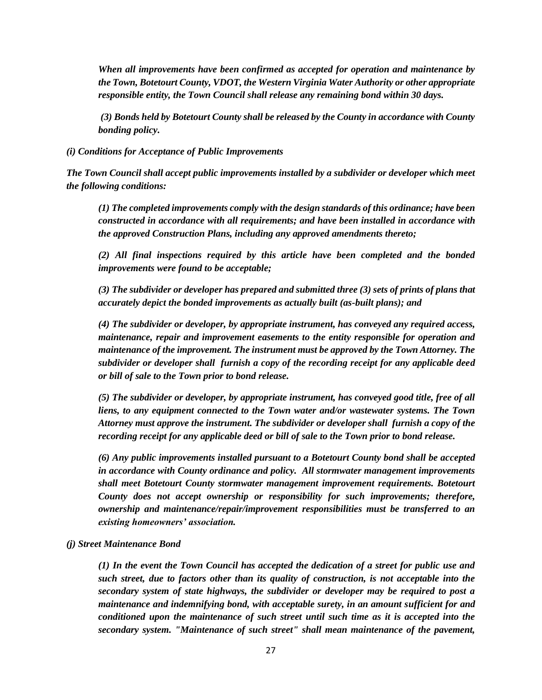*When all improvements have been confirmed as accepted for operation and maintenance by the Town, Botetourt County, VDOT, the Western Virginia Water Authority or other appropriate responsible entity, the Town Council shall release any remaining bond within 30 days.* 

*(3) Bonds held by Botetourt County shall be released by the County in accordance with County bonding policy.* 

*(i) Conditions for Acceptance of Public Improvements* 

*The Town Council shall accept public improvements installed by a subdivider or developer which meet the following conditions:* 

*(1) The completed improvements comply with the design standards of this ordinance; have been constructed in accordance with all requirements; and have been installed in accordance with the approved Construction Plans, including any approved amendments thereto;*

*(2) All final inspections required by this article have been completed and the bonded improvements were found to be acceptable;* 

*(3) The subdivider or developer has prepared and submitted three (3) sets of prints of plans that accurately depict the bonded improvements as actually built (as-built plans); and* 

*(4) The subdivider or developer, by appropriate instrument, has conveyed any required access, maintenance, repair and improvement easements to the entity responsible for operation and maintenance of the improvement. The instrument must be approved by the Town Attorney. The subdivider or developer shall furnish a copy of the recording receipt for any applicable deed or bill of sale to the Town prior to bond release.*

*(5) The subdivider or developer, by appropriate instrument, has conveyed good title, free of all liens, to any equipment connected to the Town water and/or wastewater systems. The Town Attorney must approve the instrument. The subdivider or developer shall furnish a copy of the recording receipt for any applicable deed or bill of sale to the Town prior to bond release.* 

*(6) Any public improvements installed pursuant to a Botetourt County bond shall be accepted in accordance with County ordinance and policy. All stormwater management improvements shall meet Botetourt County stormwater management improvement requirements. Botetourt County does not accept ownership or responsibility for such improvements; therefore, ownership and maintenance/repair/improvement responsibilities must be transferred to an existing homeowners' association.*

#### *(j) Street Maintenance Bond*

*(1) In the event the Town Council has accepted the dedication of a street for public use and such street, due to factors other than its quality of construction, is not acceptable into the secondary system of state highways, the subdivider or developer may be required to post a maintenance and indemnifying bond, with acceptable surety, in an amount sufficient for and conditioned upon the maintenance of such street until such time as it is accepted into the secondary system. "Maintenance of such street" shall mean maintenance of the pavement,*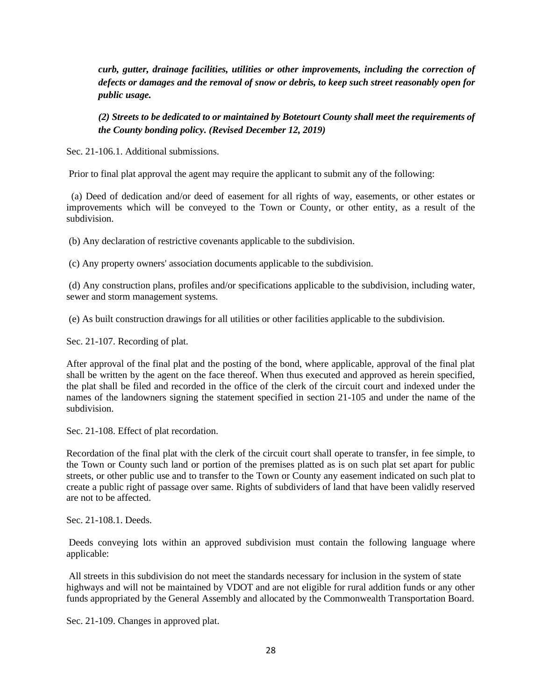*curb, gutter, drainage facilities, utilities or other improvements, including the correction of defects or damages and the removal of snow or debris, to keep such street reasonably open for public usage.* 

*(2) Streets to be dedicated to or maintained by Botetourt County shall meet the requirements of the County bonding policy. (Revised December 12, 2019)*

Sec. 21-106.1. Additional submissions.

Prior to final plat approval the agent may require the applicant to submit any of the following:

 (a) Deed of dedication and/or deed of easement for all rights of way, easements, or other estates or improvements which will be conveyed to the Town or County, or other entity, as a result of the subdivision.

(b) Any declaration of restrictive covenants applicable to the subdivision.

(c) Any property owners' association documents applicable to the subdivision.

(d) Any construction plans, profiles and/or specifications applicable to the subdivision, including water, sewer and storm management systems.

(e) As built construction drawings for all utilities or other facilities applicable to the subdivision.

Sec. 21-107. Recording of plat.

After approval of the final plat and the posting of the bond, where applicable, approval of the final plat shall be written by the agent on the face thereof. When thus executed and approved as herein specified, the plat shall be filed and recorded in the office of the clerk of the circuit court and indexed under the names of the landowners signing the statement specified in section 21-105 and under the name of the subdivision.

Sec. 21-108. Effect of plat recordation.

Recordation of the final plat with the clerk of the circuit court shall operate to transfer, in fee simple, to the Town or County such land or portion of the premises platted as is on such plat set apart for public streets, or other public use and to transfer to the Town or County any easement indicated on such plat to create a public right of passage over same. Rights of subdividers of land that have been validly reserved are not to be affected.

Sec. 21-108.1. Deeds.

Deeds conveying lots within an approved subdivision must contain the following language where applicable:

All streets in this subdivision do not meet the standards necessary for inclusion in the system of state highways and will not be maintained by VDOT and are not eligible for rural addition funds or any other funds appropriated by the General Assembly and allocated by the Commonwealth Transportation Board.

Sec. 21-109. Changes in approved plat.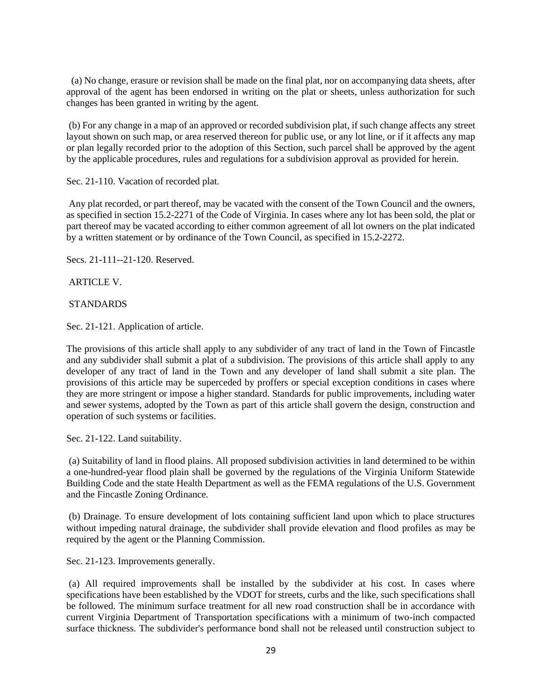(a) No change, erasure or revision shall be made on the final plat, nor on accompanying data sheets, after approval of the agent has been endorsed in writing on the plat or sheets, unless authorization for such changes has been granted in writing by the agent.

(b) For any change in a map of an approved or recorded subdivision plat, if such change affects any street layout shown on such map, or area reserved thereon for public use, or any lot line, or if it affects any map or plan legally recorded prior to the adoption of this Section, such parcel shall be approved by the agent by the applicable procedures, rules and regulations for a subdivision approval as provided for herein.

Sec. 21-110. Vacation of recorded plat.

Any plat recorded, or part thereof, may be vacated with the consent of the Town Council and the owners, as specified in section 15.2-2271 of the Code of Virginia. In cases where any lot has been sold, the plat or part thereof may be vacated according to either common agreement of all lot owners on the plat indicated by a written statement or by ordinance of the Town Council, as specified in 15.2-2272.

Secs. 21-111--21-120. Reserved.

ARTICLE V.

### STANDARDS

Sec. 21-121. Application of article.

The provisions of this article shall apply to any subdivider of any tract of land in the Town of Fincastle and any subdivider shall submit a plat of a subdivision. The provisions of this article shall apply to any developer of any tract of land in the Town and any developer of land shall submit a site plan. The provisions of this article may be superceded by proffers or special exception conditions in cases where they are more stringent or impose a higher standard. Standards for public improvements, including water and sewer systems, adopted by the Town as part of this article shall govern the design, construction and operation of such systems or facilities.

Sec. 21-122. Land suitability.

(a) Suitability of land in flood plains. All proposed subdivision activities in land determined to be within a one-hundred-year flood plain shall be governed by the regulations of the Virginia Uniform Statewide Building Code and the state Health Department as well as the FEMA regulations of the U.S. Government and the Fincastle Zoning Ordinance.

(b) Drainage. To ensure development of lots containing sufficient land upon which to place structures without impeding natural drainage, the subdivider shall provide elevation and flood profiles as may be required by the agent or the Planning Commission.

Sec. 21-123. Improvements generally.

(a) All required improvements shall be installed by the subdivider at his cost. In cases where specifications have been established by the VDOT for streets, curbs and the like, such specifications shall be followed. The minimum surface treatment for all new road construction shall be in accordance with current Virginia Department of Transportation specifications with a minimum of two-inch compacted surface thickness. The subdivider's performance bond shall not be released until construction subject to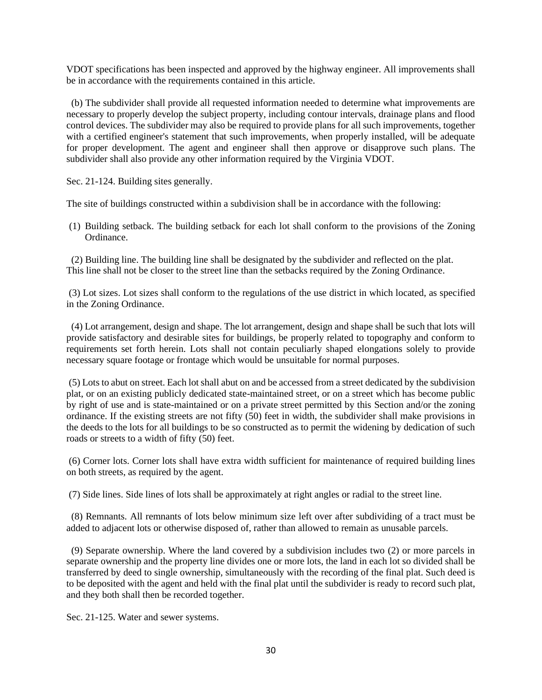VDOT specifications has been inspected and approved by the highway engineer. All improvements shall be in accordance with the requirements contained in this article.

 (b) The subdivider shall provide all requested information needed to determine what improvements are necessary to properly develop the subject property, including contour intervals, drainage plans and flood control devices. The subdivider may also be required to provide plans for all such improvements, together with a certified engineer's statement that such improvements, when properly installed, will be adequate for proper development. The agent and engineer shall then approve or disapprove such plans. The subdivider shall also provide any other information required by the Virginia VDOT.

Sec. 21-124. Building sites generally.

The site of buildings constructed within a subdivision shall be in accordance with the following:

(1) Building setback. The building setback for each lot shall conform to the provisions of the Zoning Ordinance.

 (2) Building line. The building line shall be designated by the subdivider and reflected on the plat. This line shall not be closer to the street line than the setbacks required by the Zoning Ordinance.

(3) Lot sizes. Lot sizes shall conform to the regulations of the use district in which located, as specified in the Zoning Ordinance.

 (4) Lot arrangement, design and shape. The lot arrangement, design and shape shall be such that lots will provide satisfactory and desirable sites for buildings, be properly related to topography and conform to requirements set forth herein. Lots shall not contain peculiarly shaped elongations solely to provide necessary square footage or frontage which would be unsuitable for normal purposes.

(5) Lots to abut on street. Each lot shall abut on and be accessed from a street dedicated by the subdivision plat, or on an existing publicly dedicated state-maintained street, or on a street which has become public by right of use and is state-maintained or on a private street permitted by this Section and/or the zoning ordinance. If the existing streets are not fifty (50) feet in width, the subdivider shall make provisions in the deeds to the lots for all buildings to be so constructed as to permit the widening by dedication of such roads or streets to a width of fifty (50) feet.

(6) Corner lots. Corner lots shall have extra width sufficient for maintenance of required building lines on both streets, as required by the agent.

(7) Side lines. Side lines of lots shall be approximately at right angles or radial to the street line.

 (8) Remnants. All remnants of lots below minimum size left over after subdividing of a tract must be added to adjacent lots or otherwise disposed of, rather than allowed to remain as unusable parcels.

 (9) Separate ownership. Where the land covered by a subdivision includes two (2) or more parcels in separate ownership and the property line divides one or more lots, the land in each lot so divided shall be transferred by deed to single ownership, simultaneously with the recording of the final plat. Such deed is to be deposited with the agent and held with the final plat until the subdivider is ready to record such plat, and they both shall then be recorded together.

Sec. 21-125. Water and sewer systems.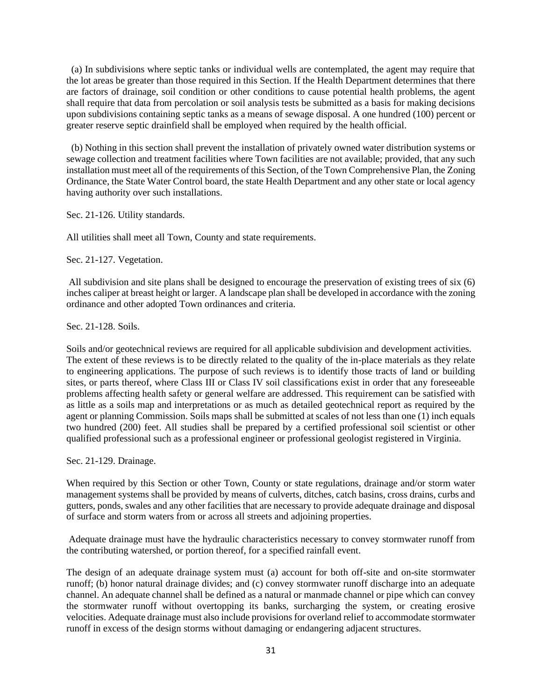(a) In subdivisions where septic tanks or individual wells are contemplated, the agent may require that the lot areas be greater than those required in this Section. If the Health Department determines that there are factors of drainage, soil condition or other conditions to cause potential health problems, the agent shall require that data from percolation or soil analysis tests be submitted as a basis for making decisions upon subdivisions containing septic tanks as a means of sewage disposal. A one hundred (100) percent or greater reserve septic drainfield shall be employed when required by the health official.

 (b) Nothing in this section shall prevent the installation of privately owned water distribution systems or sewage collection and treatment facilities where Town facilities are not available; provided, that any such installation must meet all of the requirements of this Section, of the Town Comprehensive Plan, the Zoning Ordinance, the State Water Control board, the state Health Department and any other state or local agency having authority over such installations.

Sec. 21-126. Utility standards.

All utilities shall meet all Town, County and state requirements.

Sec. 21-127. Vegetation.

All subdivision and site plans shall be designed to encourage the preservation of existing trees of six (6) inches caliper at breast height or larger. A landscape plan shall be developed in accordance with the zoning ordinance and other adopted Town ordinances and criteria.

Sec. 21-128. Soils.

Soils and/or geotechnical reviews are required for all applicable subdivision and development activities. The extent of these reviews is to be directly related to the quality of the in-place materials as they relate to engineering applications. The purpose of such reviews is to identify those tracts of land or building sites, or parts thereof, where Class III or Class IV soil classifications exist in order that any foreseeable problems affecting health safety or general welfare are addressed. This requirement can be satisfied with as little as a soils map and interpretations or as much as detailed geotechnical report as required by the agent or planning Commission. Soils maps shall be submitted at scales of not less than one (1) inch equals two hundred (200) feet. All studies shall be prepared by a certified professional soil scientist or other qualified professional such as a professional engineer or professional geologist registered in Virginia.

Sec. 21-129. Drainage.

When required by this Section or other Town, County or state regulations, drainage and/or storm water management systems shall be provided by means of culverts, ditches, catch basins, cross drains, curbs and gutters, ponds, swales and any other facilities that are necessary to provide adequate drainage and disposal of surface and storm waters from or across all streets and adjoining properties.

Adequate drainage must have the hydraulic characteristics necessary to convey stormwater runoff from the contributing watershed, or portion thereof, for a specified rainfall event.

The design of an adequate drainage system must (a) account for both off-site and on-site stormwater runoff; (b) honor natural drainage divides; and (c) convey stormwater runoff discharge into an adequate channel. An adequate channel shall be defined as a natural or manmade channel or pipe which can convey the stormwater runoff without overtopping its banks, surcharging the system, or creating erosive velocities. Adequate drainage must also include provisions for overland relief to accommodate stormwater runoff in excess of the design storms without damaging or endangering adjacent structures.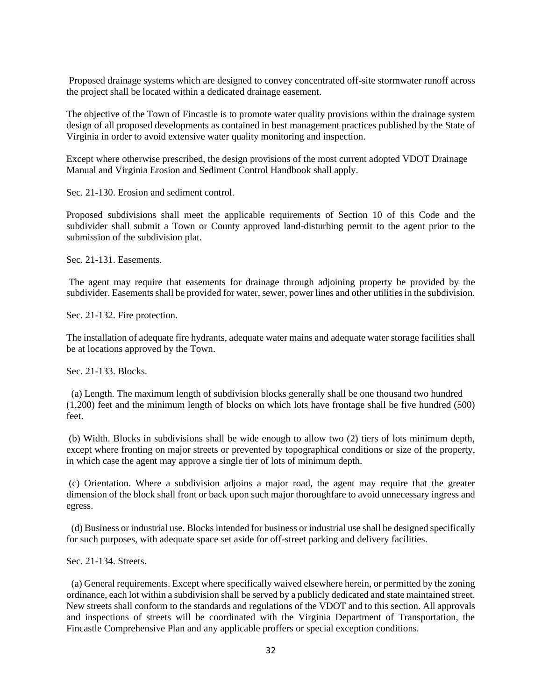Proposed drainage systems which are designed to convey concentrated off-site stormwater runoff across the project shall be located within a dedicated drainage easement.

The objective of the Town of Fincastle is to promote water quality provisions within the drainage system design of all proposed developments as contained in best management practices published by the State of Virginia in order to avoid extensive water quality monitoring and inspection.

Except where otherwise prescribed, the design provisions of the most current adopted VDOT Drainage Manual and Virginia Erosion and Sediment Control Handbook shall apply.

Sec. 21-130. Erosion and sediment control.

Proposed subdivisions shall meet the applicable requirements of Section 10 of this Code and the subdivider shall submit a Town or County approved land-disturbing permit to the agent prior to the submission of the subdivision plat.

Sec. 21-131. Easements.

The agent may require that easements for drainage through adjoining property be provided by the subdivider. Easements shall be provided for water, sewer, power lines and other utilities in the subdivision.

Sec. 21-132. Fire protection.

The installation of adequate fire hydrants, adequate water mains and adequate water storage facilities shall be at locations approved by the Town.

Sec. 21-133. Blocks.

 (a) Length. The maximum length of subdivision blocks generally shall be one thousand two hundred (1,200) feet and the minimum length of blocks on which lots have frontage shall be five hundred (500) feet.

(b) Width. Blocks in subdivisions shall be wide enough to allow two (2) tiers of lots minimum depth, except where fronting on major streets or prevented by topographical conditions or size of the property, in which case the agent may approve a single tier of lots of minimum depth.

(c) Orientation. Where a subdivision adjoins a major road, the agent may require that the greater dimension of the block shall front or back upon such major thoroughfare to avoid unnecessary ingress and egress.

 (d) Business or industrial use. Blocks intended for business or industrial use shall be designed specifically for such purposes, with adequate space set aside for off-street parking and delivery facilities.

Sec. 21-134. Streets.

 (a) General requirements. Except where specifically waived elsewhere herein, or permitted by the zoning ordinance, each lot within a subdivision shall be served by a publicly dedicated and state maintained street. New streets shall conform to the standards and regulations of the VDOT and to this section. All approvals and inspections of streets will be coordinated with the Virginia Department of Transportation, the Fincastle Comprehensive Plan and any applicable proffers or special exception conditions.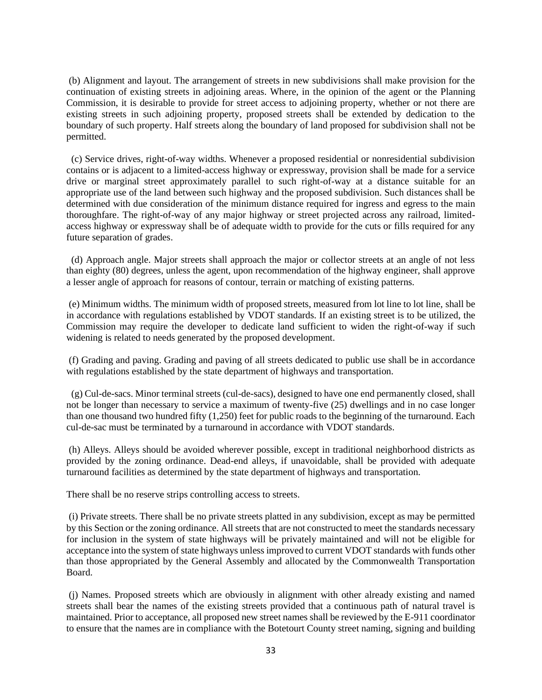(b) Alignment and layout. The arrangement of streets in new subdivisions shall make provision for the continuation of existing streets in adjoining areas. Where, in the opinion of the agent or the Planning Commission, it is desirable to provide for street access to adjoining property, whether or not there are existing streets in such adjoining property, proposed streets shall be extended by dedication to the boundary of such property. Half streets along the boundary of land proposed for subdivision shall not be permitted.

 (c) Service drives, right-of-way widths. Whenever a proposed residential or nonresidential subdivision contains or is adjacent to a limited-access highway or expressway, provision shall be made for a service drive or marginal street approximately parallel to such right-of-way at a distance suitable for an appropriate use of the land between such highway and the proposed subdivision. Such distances shall be determined with due consideration of the minimum distance required for ingress and egress to the main thoroughfare. The right-of-way of any major highway or street projected across any railroad, limitedaccess highway or expressway shall be of adequate width to provide for the cuts or fills required for any future separation of grades.

 (d) Approach angle. Major streets shall approach the major or collector streets at an angle of not less than eighty (80) degrees, unless the agent, upon recommendation of the highway engineer, shall approve a lesser angle of approach for reasons of contour, terrain or matching of existing patterns.

(e) Minimum widths. The minimum width of proposed streets, measured from lot line to lot line, shall be in accordance with regulations established by VDOT standards. If an existing street is to be utilized, the Commission may require the developer to dedicate land sufficient to widen the right-of-way if such widening is related to needs generated by the proposed development.

(f) Grading and paving. Grading and paving of all streets dedicated to public use shall be in accordance with regulations established by the state department of highways and transportation.

(g) Cul-de-sacs. Minor terminal streets (cul-de-sacs), designed to have one end permanently closed, shall not be longer than necessary to service a maximum of twenty-five (25) dwellings and in no case longer than one thousand two hundred fifty (1,250) feet for public roads to the beginning of the turnaround. Each cul-de-sac must be terminated by a turnaround in accordance with VDOT standards.

(h) Alleys. Alleys should be avoided wherever possible, except in traditional neighborhood districts as provided by the zoning ordinance. Dead-end alleys, if unavoidable, shall be provided with adequate turnaround facilities as determined by the state department of highways and transportation.

There shall be no reserve strips controlling access to streets.

(i) Private streets. There shall be no private streets platted in any subdivision, except as may be permitted by this Section or the zoning ordinance. All streets that are not constructed to meet the standards necessary for inclusion in the system of state highways will be privately maintained and will not be eligible for acceptance into the system of state highways unless improved to current VDOT standards with funds other than those appropriated by the General Assembly and allocated by the Commonwealth Transportation Board.

(j) Names. Proposed streets which are obviously in alignment with other already existing and named streets shall bear the names of the existing streets provided that a continuous path of natural travel is maintained. Prior to acceptance, all proposed new street names shall be reviewed by the E-911 coordinator to ensure that the names are in compliance with the Botetourt County street naming, signing and building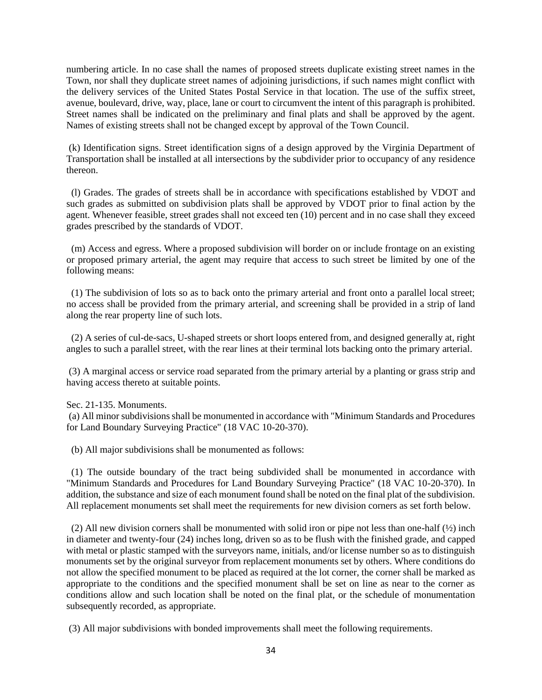numbering article. In no case shall the names of proposed streets duplicate existing street names in the Town, nor shall they duplicate street names of adjoining jurisdictions, if such names might conflict with the delivery services of the United States Postal Service in that location. The use of the suffix street, avenue, boulevard, drive, way, place, lane or court to circumvent the intent of this paragraph is prohibited. Street names shall be indicated on the preliminary and final plats and shall be approved by the agent. Names of existing streets shall not be changed except by approval of the Town Council.

(k) Identification signs. Street identification signs of a design approved by the Virginia Department of Transportation shall be installed at all intersections by the subdivider prior to occupancy of any residence thereon.

 (l) Grades. The grades of streets shall be in accordance with specifications established by VDOT and such grades as submitted on subdivision plats shall be approved by VDOT prior to final action by the agent. Whenever feasible, street grades shall not exceed ten (10) percent and in no case shall they exceed grades prescribed by the standards of VDOT.

 (m) Access and egress. Where a proposed subdivision will border on or include frontage on an existing or proposed primary arterial, the agent may require that access to such street be limited by one of the following means:

 (1) The subdivision of lots so as to back onto the primary arterial and front onto a parallel local street; no access shall be provided from the primary arterial, and screening shall be provided in a strip of land along the rear property line of such lots.

(2) A series of cul-de-sacs, U-shaped streets or short loops entered from, and designed generally at, right angles to such a parallel street, with the rear lines at their terminal lots backing onto the primary arterial.

(3) A marginal access or service road separated from the primary arterial by a planting or grass strip and having access thereto at suitable points.

Sec. 21-135. Monuments.

(a) All minor subdivisions shall be monumented in accordance with "Minimum Standards and Procedures for Land Boundary Surveying Practice" (18 VAC 10-20-370).

(b) All major subdivisions shall be monumented as follows:

 (1) The outside boundary of the tract being subdivided shall be monumented in accordance with "Minimum Standards and Procedures for Land Boundary Surveying Practice" (18 VAC 10-20-370). In addition, the substance and size of each monument found shall be noted on the final plat of the subdivision. All replacement monuments set shall meet the requirements for new division corners as set forth below.

 (2) All new division corners shall be monumented with solid iron or pipe not less than one-half (½) inch in diameter and twenty-four (24) inches long, driven so as to be flush with the finished grade, and capped with metal or plastic stamped with the surveyors name, initials, and/or license number so as to distinguish monuments set by the original surveyor from replacement monuments set by others. Where conditions do not allow the specified monument to be placed as required at the lot corner, the corner shall be marked as appropriate to the conditions and the specified monument shall be set on line as near to the corner as conditions allow and such location shall be noted on the final plat, or the schedule of monumentation subsequently recorded, as appropriate.

(3) All major subdivisions with bonded improvements shall meet the following requirements.